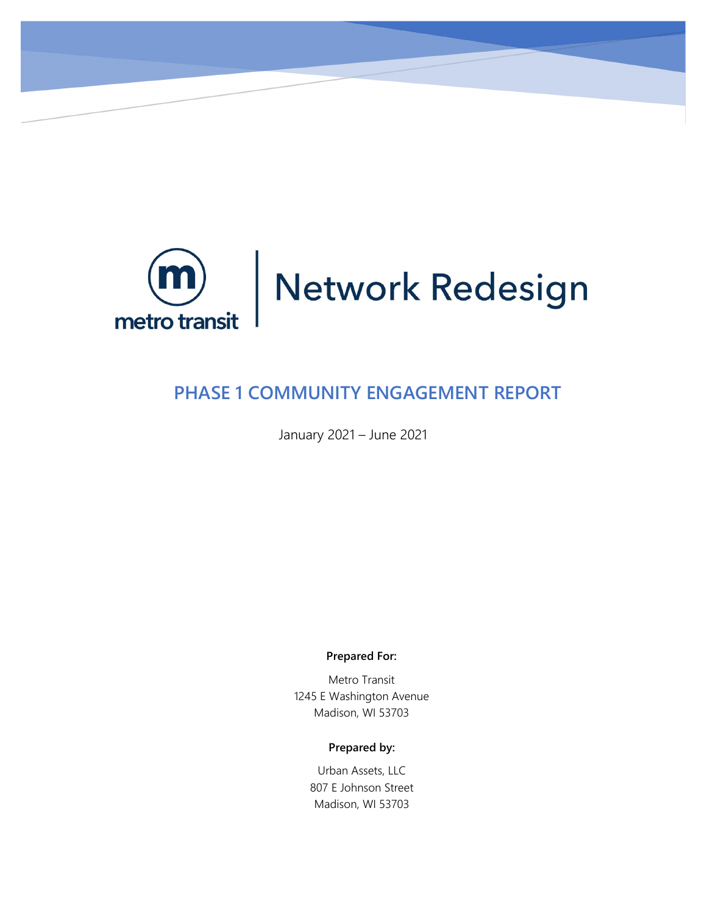

# **PHASE 1 COMMUNITY ENGAGEMENT REPORT**

January 2021 – June 2021

**Prepared For:** 

Metro Transit 1245 E Washington Avenue Madison, WI 53703

#### **Prepared by:**

Urban Assets, LLC 807 E Johnson Street Madison, WI 53703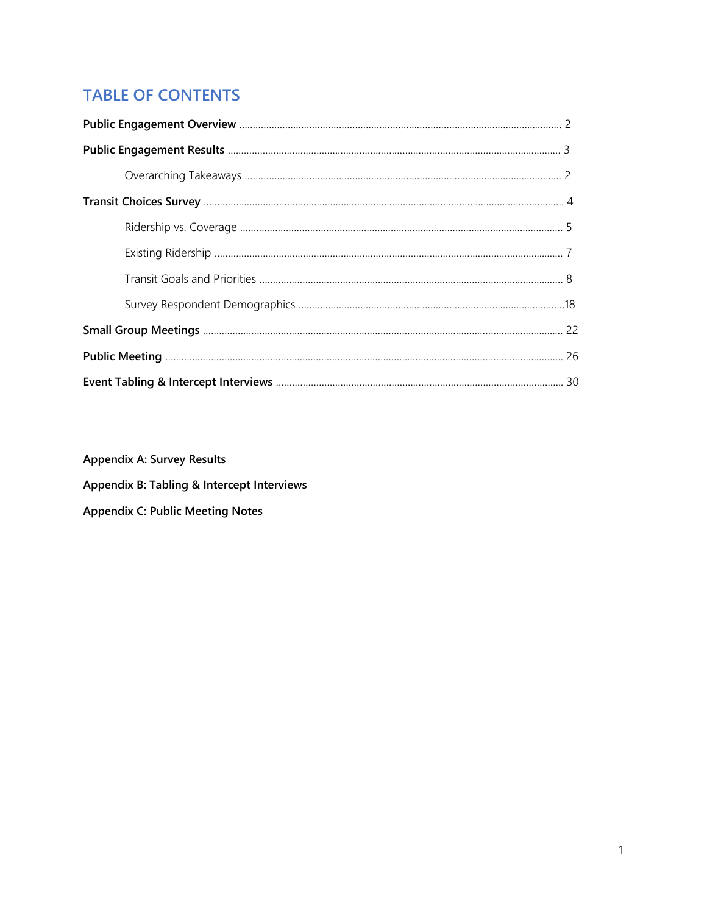# **TABLE OF CONTENTS**

**Appendix A: Survey Results Appendix B: Tabling & Intercept Interviews**

**Appendix C: Public Meeting Notes**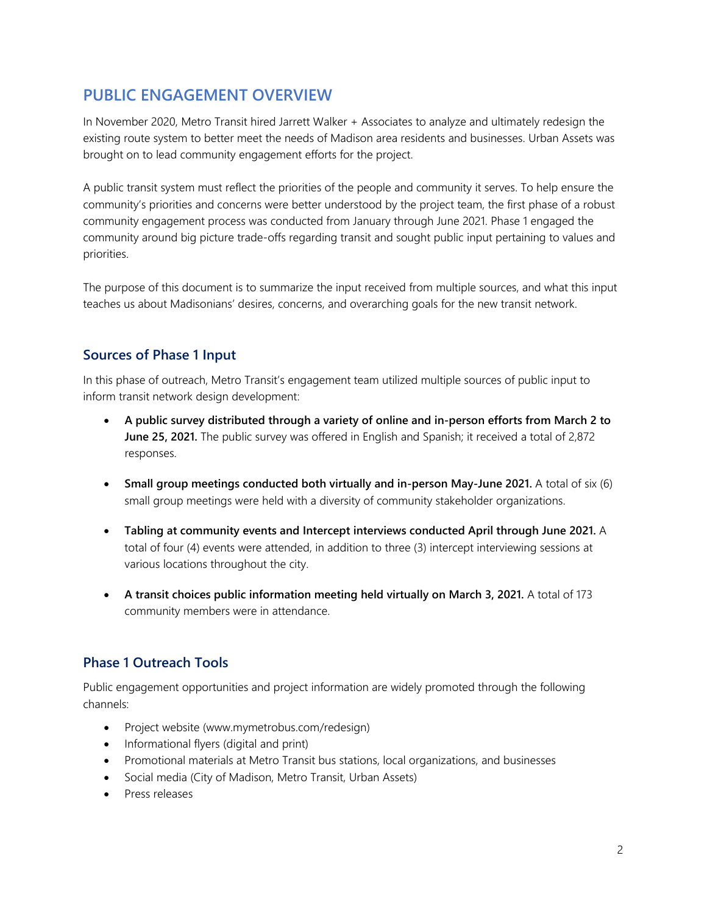# <span id="page-2-0"></span>**PUBLIC ENGAGEMENT OVERVIEW**

In November 2020, Metro Transit hired Jarrett Walker + Associates to analyze and ultimately redesign the existing route system to better meet the needs of Madison area residents and businesses. Urban Assets was brought on to lead community engagement efforts for the project.

A public transit system must reflect the priorities of the people and community it serves. To help ensure the community's priorities and concerns were better understood by the project team, the first phase of a robust community engagement process was conducted from January through June 2021. Phase 1 engaged the community around big picture trade-offs regarding transit and sought public input pertaining to values and priorities.

The purpose of this document is to summarize the input received from multiple sources, and what this input teaches us about Madisonians' desires, concerns, and overarching goals for the new transit network.

# **Sources of Phase 1 Input**

In this phase of outreach, Metro Transit's engagement team utilized multiple sources of public input to inform transit network design development:

- **A public survey distributed through a variety of online and in-person efforts from March 2 to June 25, 2021.** The public survey was offered in English and Spanish; it received a total of 2,872 responses.
- **Small group meetings conducted both virtually and in-person May-June 2021.** A total of six (6) small group meetings were held with a diversity of community stakeholder organizations.
- **Tabling at community events and Intercept interviews conducted April through June 2021.** A total of four (4) events were attended, in addition to three (3) intercept interviewing sessions at various locations throughout the city.
- **A transit choices public information meeting held virtually on March 3, 2021.** A total of 173 community members were in attendance.

# **Phase 1 Outreach Tools**

Public engagement opportunities and project information are widely promoted through the following channels:

- Project website (www.mymetrobus.com/redesign)
- Informational flyers (digital and print)
- Promotional materials at Metro Transit bus stations, local organizations, and businesses
- Social media (City of Madison, Metro Transit, Urban Assets)
- Press releases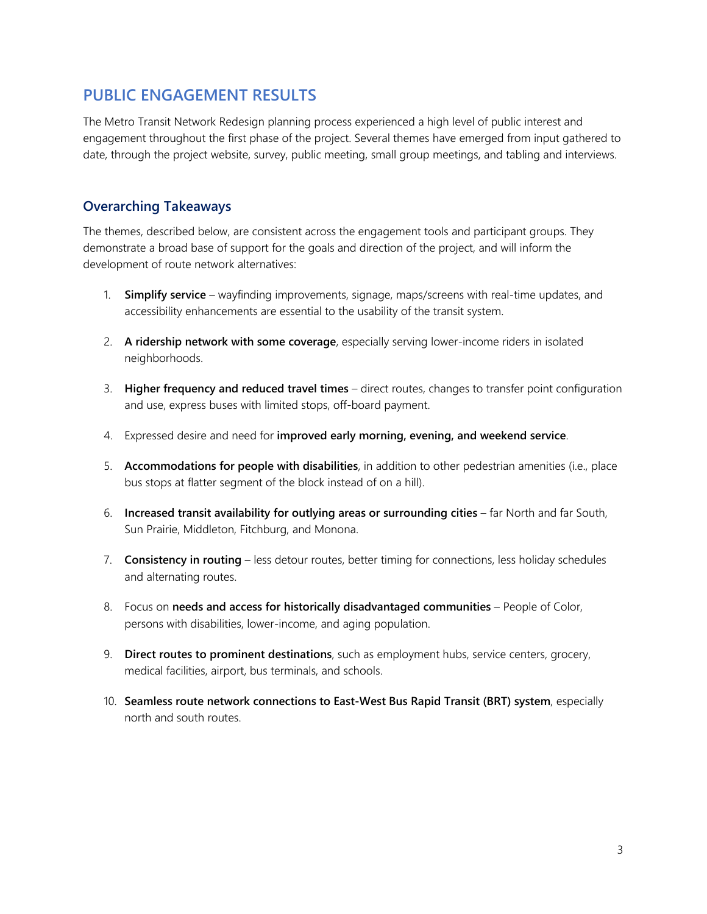# <span id="page-3-0"></span>**PUBLIC ENGAGEMENT RESULTS**

The Metro Transit Network Redesign planning process experienced a high level of public interest and engagement throughout the first phase of the project. Several themes have emerged from input gathered to date, through the project website, survey, public meeting, small group meetings, and tabling and interviews.

### **Overarching Takeaways**

The themes, described below, are consistent across the engagement tools and participant groups. They demonstrate a broad base of support for the goals and direction of the project, and will inform the development of route network alternatives:

- 1. **Simplify service** wayfinding improvements, signage, maps/screens with real-time updates, and accessibility enhancements are essential to the usability of the transit system.
- 2. **A ridership network with some coverage**, especially serving lower-income riders in isolated neighborhoods.
- 3. **Higher frequency and reduced travel times** direct routes, changes to transfer point configuration and use, express buses with limited stops, off-board payment.
- 4. Expressed desire and need for **improved early morning, evening, and weekend service**.
- 5. **Accommodations for people with disabilities**, in addition to other pedestrian amenities (i.e., place bus stops at flatter segment of the block instead of on a hill).
- 6. **Increased transit availability for outlying areas or surrounding cities** far North and far South, Sun Prairie, Middleton, Fitchburg, and Monona.
- 7. **Consistency in routing** less detour routes, better timing for connections, less holiday schedules and alternating routes.
- 8. Focus on **needs and access for historically disadvantaged communities** People of Color, persons with disabilities, lower-income, and aging population.
- 9. **Direct routes to prominent destinations**, such as employment hubs, service centers, grocery, medical facilities, airport, bus terminals, and schools.
- 10. **Seamless route network connections to East-West Bus Rapid Transit (BRT) system**, especially north and south routes.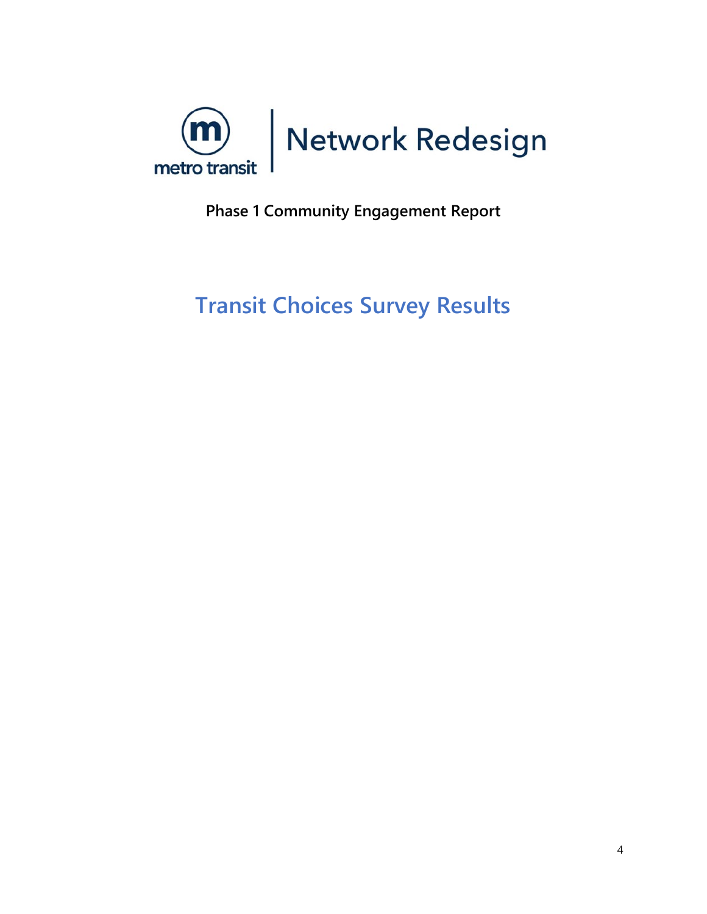<span id="page-4-0"></span>

**Phase 1 Community Engagement Report**

# **Transit Choices Survey Results**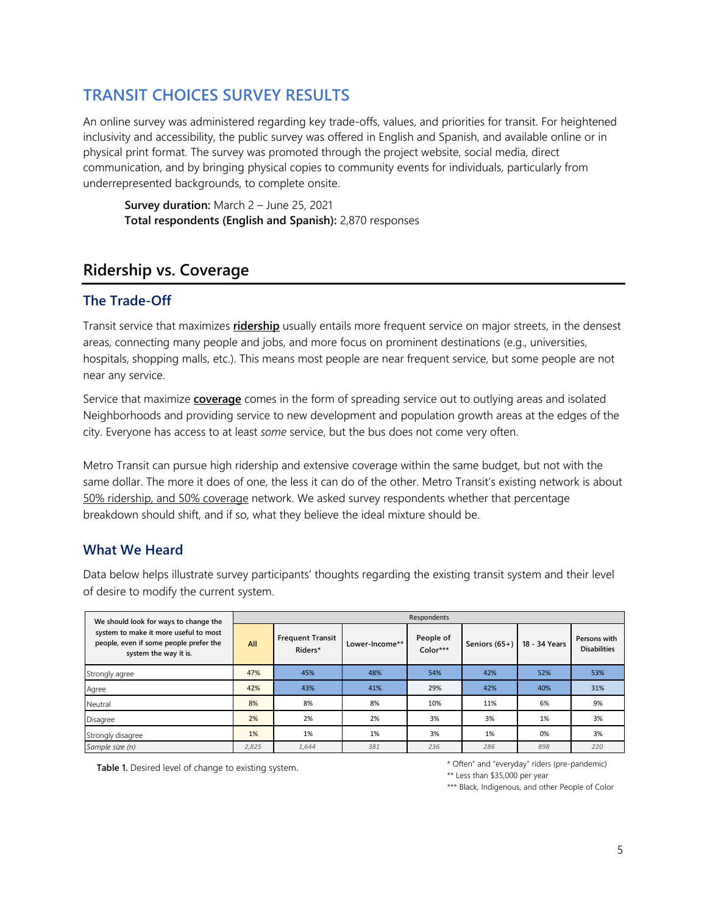# **TRANSIT CHOICES SURVEY RESULTS**

An online survey was administered regarding key trade-offs, values, and priorities for transit. For heightened inclusivity and accessibility, the public survey was offered in English and Spanish, and available online or in physical print format. The survey was promoted through the project website, social media, direct communication, and by bringing physical copies to community events for individuals, particularly from underrepresented backgrounds, to complete onsite.

**Survey duration:** March 2 – June 25, 2021 **Total respondents (English and Spanish):** 2,870 responses

# **Ridership vs. Coverage**

### **The Trade-Off**

Transit service that maximizes **ridership** usually entails more frequent service on major streets, in the densest areas, connecting many people and jobs, and more focus on prominent destinations (e.g., universities, hospitals, shopping malls, etc.). This means most people are near frequent service, but some people are not near any service.

Service that maximize **coverage** comes in the form of spreading service out to outlying areas and isolated Neighborhoods and providing service to new development and population growth areas at the edges of the city. Everyone has access to at least *some* service, but the bus does not come very often.

Metro Transit can pursue high ridership and extensive coverage within the same budget, but not with the same dollar. The more it does of one, the less it can do of the other. Metro Transit's existing network is about 50% ridership, and 50% coverage network. We asked survey respondents whether that percentage breakdown should shift, and if so, what they believe the ideal mixture should be.

### **What We Heard**

Data below helps illustrate survey participants' thoughts regarding the existing transit system and their level of desire to modify the current system.

| We should look for ways to change the                                                                    | Respondents |                                    |                |                       |                 |               |                                     |  |  |
|----------------------------------------------------------------------------------------------------------|-------------|------------------------------------|----------------|-----------------------|-----------------|---------------|-------------------------------------|--|--|
| system to make it more useful to most<br>people, even if some people prefer the<br>system the way it is. | All         | <b>Frequent Transit</b><br>Riders* | Lower-Income** | People of<br>Color*** | Seniors $(65+)$ | 18 - 34 Years | Persons with<br><b>Disabilities</b> |  |  |
| Strongly agree                                                                                           | 47%         | 45%                                | 48%            | 54%                   | 42%             | 52%           | 53%                                 |  |  |
| Agree                                                                                                    | 42%         | 43%                                | 41%            | 29%                   | 42%             | 40%           | 31%                                 |  |  |
| Neutral                                                                                                  | 8%          | 8%                                 | 8%             | 10%                   | 11%             | 6%            | 9%                                  |  |  |
| Disagree                                                                                                 | 2%          | 2%                                 | 2%             | 3%                    | 3%              | 1%            | 3%                                  |  |  |
| Strongly disagree                                                                                        | 1%          | 1%                                 | 1%             | 3%                    | 1%              | 0%            | 3%                                  |  |  |
| Sample size (n)                                                                                          | 2,825       | 1,644                              | 381            | 236                   | 286             | 898           | 220                                 |  |  |

Table 1. Desired level of change to existing system. The state of the state of the system of the system.

\*\* Less than \$35,000 per year

\*\*\* Black, Indigenous, and other People of Color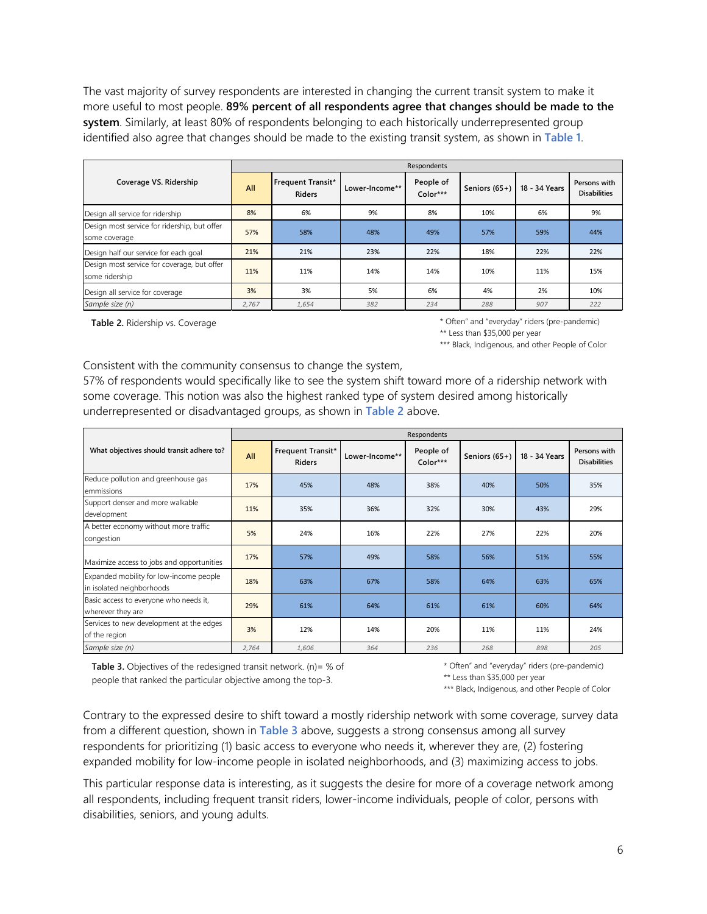The vast majority of survey respondents are interested in changing the current transit system to make it more useful to most people. **89% percent of all respondents agree that changes should be made to the system**. Similarly, at least 80% of respondents belonging to each historically underrepresented group identified also agree that changes should be made to the existing transit system, as shown in **Table 1**.

|                                                               | Respondents |                                    |                |                         |                 |               |                                     |  |
|---------------------------------------------------------------|-------------|------------------------------------|----------------|-------------------------|-----------------|---------------|-------------------------------------|--|
| Coverage VS. Ridership                                        | All         | Frequent Transit*<br><b>Riders</b> | Lower-Income** | People of<br>$Color***$ | Seniors $(65+)$ | 18 - 34 Years | Persons with<br><b>Disabilities</b> |  |
| Design all service for ridership                              | 8%          | 6%                                 | 9%             | 8%                      | 10%             | 6%            | 9%                                  |  |
| Design most service for ridership, but offer<br>some coverage | 57%         | 58%                                | 48%            | 49%                     | 57%             | 59%           | 44%                                 |  |
| Design half our service for each goal                         | 21%         | 21%                                | 23%            | 22%                     | 18%             | 22%           | 22%                                 |  |
| Design most service for coverage, but offer<br>some ridership | 11%         | 11%                                | 14%            | 14%                     | 10%             | 11%           | 15%                                 |  |
| Design all service for coverage                               | 3%          | 3%                                 | 5%             | 6%                      | 4%              | 2%            | 10%                                 |  |
| Sample size (n)                                               | 2.767       | 1,654                              | 382            | 234                     | 288             | 907           | 222                                 |  |

**Table 2.** Ridership vs. Coverage

\* Often" and "everyday" riders (pre-pandemic) \*\* Less than \$35,000 per year

\*\*\* Black, Indigenous, and other People of Color

Consistent with the community consensus to change the system,

57% of respondents would specifically like to see the system shift toward more of a ridership network with some coverage. This notion was also the highest ranked type of system desired among historically underrepresented or disadvantaged groups, as shown in **Table 2** above.

|                                                                      | Respondents |                                    |                |                       |                 |               |                                     |  |
|----------------------------------------------------------------------|-------------|------------------------------------|----------------|-----------------------|-----------------|---------------|-------------------------------------|--|
| What objectives should transit adhere to?                            | All         | Frequent Transit*<br><b>Riders</b> | Lower-Income** | People of<br>Color*** | Seniors $(65+)$ | 18 - 34 Years | Persons with<br><b>Disabilities</b> |  |
| Reduce pollution and greenhouse gas<br>emmissions                    | 17%         | 45%                                | 48%            | 38%                   | 40%             | 50%           | 35%                                 |  |
| Support denser and more walkable<br>development                      | 11%         | 35%                                | 36%            | 32%                   | 30%             | 43%           | 29%                                 |  |
| A better economy without more traffic<br>congestion                  | 5%          | 24%                                | 16%            | 22%                   | 27%             | 22%           | 20%                                 |  |
| Maximize access to jobs and opportunities                            | 17%         | 57%                                | 49%            | 58%                   | 56%             | 51%           | 55%                                 |  |
| Expanded mobility for low-income people<br>in isolated neighborhoods | 18%         | 63%                                | 67%            | 58%                   | 64%             | 63%           | 65%                                 |  |
| Basic access to everyone who needs it,<br>wherever they are          | 29%         | 61%                                | 64%            | 61%                   | 61%             | 60%           | 64%                                 |  |
| Services to new development at the edges<br>of the region            | 3%          | 12%                                | 14%            | 20%                   | 11%             | 11%           | 24%                                 |  |
| Sample size (n)                                                      | 2,764       | 1,606                              | 364            | 236                   | 268             | 898           | 205                                 |  |

**Table 3.** Objectives of the redesigned transit network. (n)= % of people that ranked the particular objective among the top-3.

\* Often" and "everyday" riders (pre-pandemic)

\*\* Less than \$35,000 per year

\*\*\* Black, Indigenous, and other People of Color

Contrary to the expressed desire to shift toward a mostly ridership network with some coverage, survey data from a different question, shown in **Table 3** above, suggests a strong consensus among all survey respondents for prioritizing (1) basic access to everyone who needs it, wherever they are, (2) fostering expanded mobility for low-income people in isolated neighborhoods, and (3) maximizing access to jobs.

This particular response data is interesting, as it suggests the desire for more of a coverage network among all respondents, including frequent transit riders, lower-income individuals, people of color, persons with disabilities, seniors, and young adults.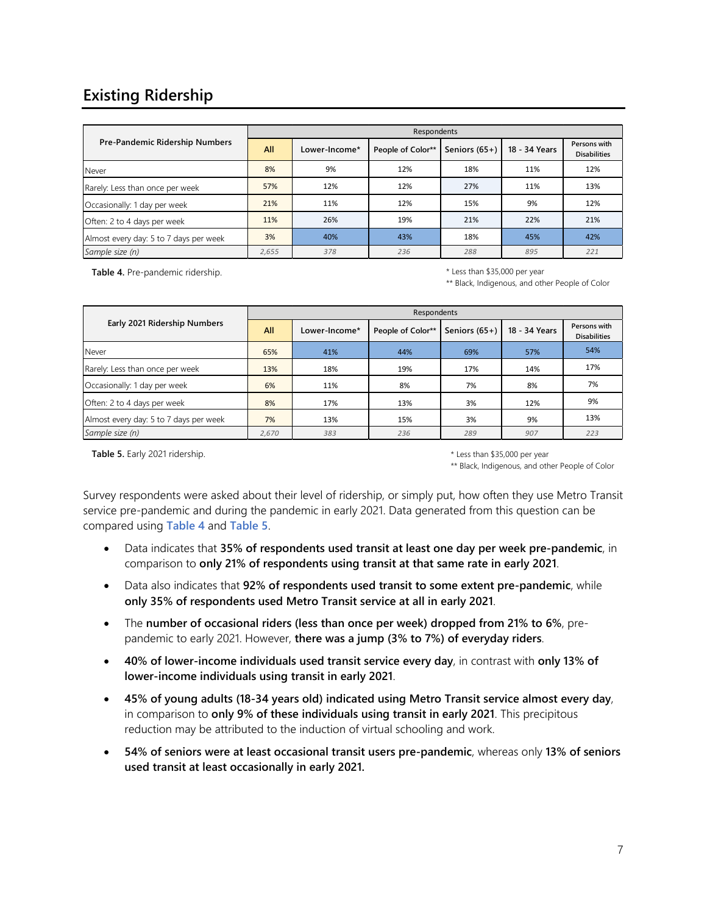# **Existing Ridership**

|                                        | Respondents |               |                   |                 |               |                                     |  |  |
|----------------------------------------|-------------|---------------|-------------------|-----------------|---------------|-------------------------------------|--|--|
| Pre-Pandemic Ridership Numbers         | All         | Lower-Income* | People of Color** | Seniors $(65+)$ | 18 - 34 Years | Persons with<br><b>Disabilities</b> |  |  |
| Never                                  | 8%          | 9%            | 12%               | 18%             | 11%           | 12%                                 |  |  |
| Rarely: Less than once per week        | 57%         | 12%           | 12%               | 27%             | 11%           | 13%                                 |  |  |
| Occasionally: 1 day per week           | 21%         | 11%           | 12%               | 15%             | 9%            | 12%                                 |  |  |
| Often: 2 to 4 days per week            | 11%         | 26%           | 19%               | 21%             | 22%           | 21%                                 |  |  |
| Almost every day: 5 to 7 days per week | 3%          | 40%           | 43%               | 18%             | 45%           | 42%                                 |  |  |
| Sample size (n)                        | 2,655       | 378           | 236               | 288             | 895           | 221                                 |  |  |

**Table 4.** Pre-pandemic ridership.

\* Less than \$35,000 per year

\*\* Black, Indigenous, and other People of Color

|                                        | Respondents |               |                   |                 |               |                                     |  |  |
|----------------------------------------|-------------|---------------|-------------------|-----------------|---------------|-------------------------------------|--|--|
| Early 2021 Ridership Numbers           | All         | Lower-Income* | People of Color** | Seniors $(65+)$ | 18 - 34 Years | Persons with<br><b>Disabilities</b> |  |  |
| Never                                  | 65%         | 41%           | 44%               | 69%             | 57%           | 54%                                 |  |  |
| Rarely: Less than once per week        | 13%         | 18%           | 19%               | 17%             | 14%           | 17%                                 |  |  |
| Occasionally: 1 day per week           | 6%          | 11%           | 8%                | 7%              | 8%            | 7%                                  |  |  |
| Often: 2 to 4 days per week            | 8%          | 17%           | 13%               | 3%              | 12%           | 9%                                  |  |  |
| Almost every day: 5 to 7 days per week | 7%          | 13%           | 15%               | 3%              | 9%            | 13%                                 |  |  |
| Sample size (n)                        | 2,670       | 383           | 236               | 289             | 907           | 223                                 |  |  |

**Table 5.** Early 2021 ridership.

\* Less than \$35,000 per year \*\* Black, Indigenous, and other People of Color

Survey respondents were asked about their level of ridership, or simply put, how often they use Metro Transit service pre-pandemic and during the pandemic in early 2021. Data generated from this question can be compared using **Table 4** and **Table 5**.

- Data indicates that **35% of respondents used transit at least one day per week pre-pandemic**, in comparison to **only 21% of respondents using transit at that same rate in early 2021**.
- Data also indicates that **92% of respondents used transit to some extent pre-pandemic**, while **only 35% of respondents used Metro Transit service at all in early 2021**.
- The **number of occasional riders (less than once per week) dropped from 21% to 6%**, prepandemic to early 2021. However, **there was a jump (3% to 7%) of everyday riders**.
- **40% of lower-income individuals used transit service every day**, in contrast with **only 13% of lower-income individuals using transit in early 2021**.
- **45% of young adults (18-34 years old) indicated using Metro Transit service almost every day**, in comparison to **only 9% of these individuals using transit in early 2021**. This precipitous reduction may be attributed to the induction of virtual schooling and work.
- **54% of seniors were at least occasional transit users pre-pandemic**, whereas only **13% of seniors used transit at least occasionally in early 2021.**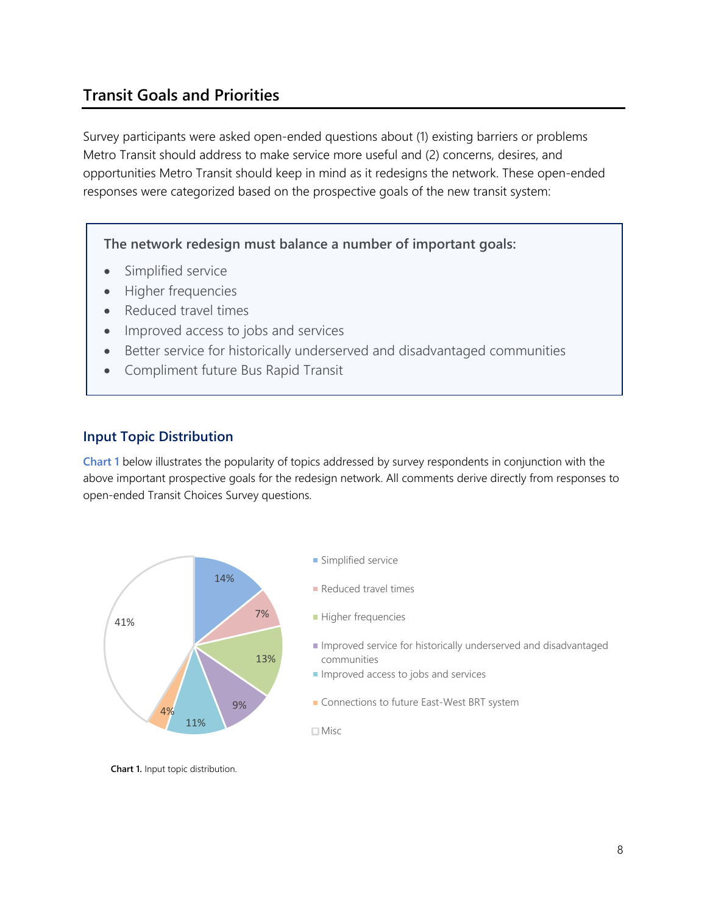# **Transit Goals and Priorities**

Survey participants were asked open-ended questions about (1) existing barriers or problems Metro Transit should address to make service more useful and (2) concerns, desires, and opportunities Metro Transit should keep in mind as it redesigns the network. These open-ended responses were categorized based on the prospective goals of the new transit system:

**The network redesign must balance a number of important goals:**

- Simplified service
- Higher frequencies
- Reduced travel times
- Improved access to jobs and services
- Better service for historically underserved and disadvantaged communities
- Compliment future Bus Rapid Transit

### **Input Topic Distribution**

**Chart 1** below illustrates the popularity of topics addressed by survey respondents in conjunction with the above important prospective goals for the redesign network. All comments derive directly from responses to open-ended Transit Choices Survey questions.



**Chart 1.** Input topic distribution.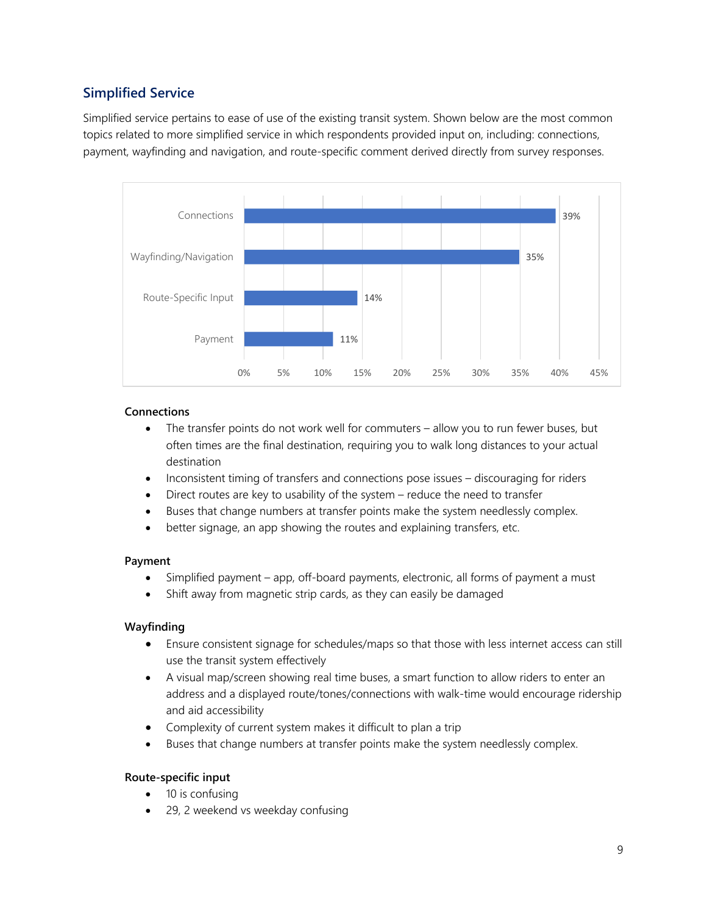# **Simplified Service**

Simplified service pertains to ease of use of the existing transit system. Shown below are the most common topics related to more simplified service in which respondents provided input on, including: connections, payment, wayfinding and navigation, and route-specific comment derived directly from survey responses.



#### **Connections**

- The transfer points do not work well for commuters allow you to run fewer buses, but often times are the final destination, requiring you to walk long distances to your actual destination
- Inconsistent timing of transfers and connections pose issues discouraging for riders
- Direct routes are key to usability of the system reduce the need to transfer
- Buses that change numbers at transfer points make the system needlessly complex.
- better signage, an app showing the routes and explaining transfers, etc.

#### **Payment**

- Simplified payment app, off-board payments, electronic, all forms of payment a must
- Shift away from magnetic strip cards, as they can easily be damaged

#### **Wayfinding**

- Ensure consistent signage for schedules/maps so that those with less internet access can still use the transit system effectively
- A visual map/screen showing real time buses, a smart function to allow riders to enter an address and a displayed route/tones/connections with walk-time would encourage ridership and aid accessibility
- Complexity of current system makes it difficult to plan a trip
- Buses that change numbers at transfer points make the system needlessly complex.

#### **Route-specific input**

- 10 is confusing
- 29, 2 weekend vs weekday confusing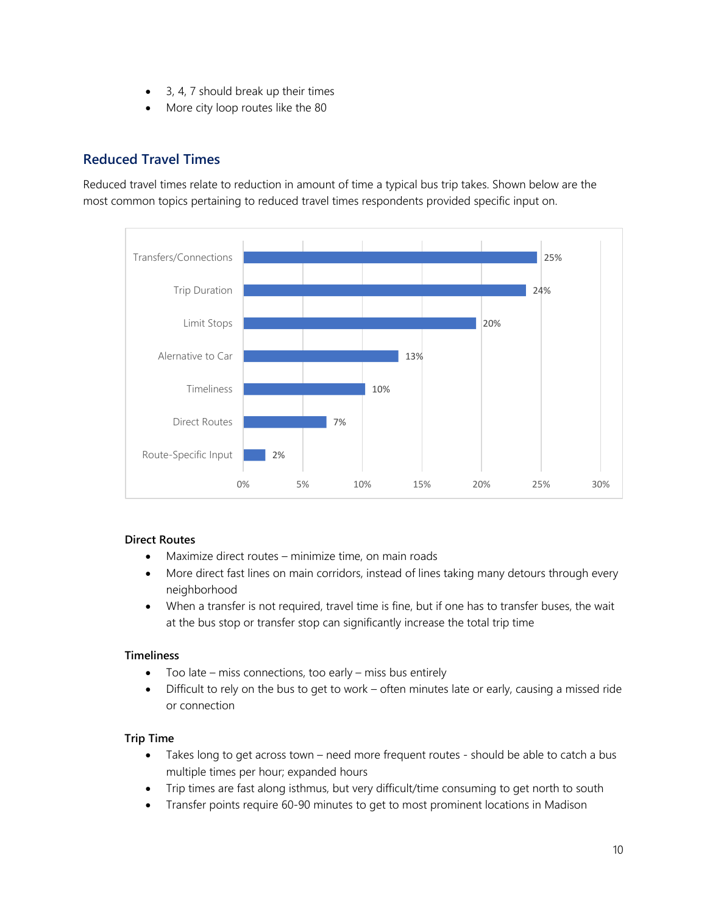- 3, 4, 7 should break up their times
- More city loop routes like the 80

## **Reduced Travel Times**

Reduced travel times relate to reduction in amount of time a typical bus trip takes. Shown below are the most common topics pertaining to reduced travel times respondents provided specific input on.



#### **Direct Routes**

- Maximize direct routes minimize time, on main roads
- More direct fast lines on main corridors, instead of lines taking many detours through every neighborhood
- When a transfer is not required, travel time is fine, but if one has to transfer buses, the wait at the bus stop or transfer stop can significantly increase the total trip time

#### **Timeliness**

- Too late miss connections, too early miss bus entirely
- Difficult to rely on the bus to get to work often minutes late or early, causing a missed ride or connection

#### **Trip Time**

- Takes long to get across town need more frequent routes should be able to catch a bus multiple times per hour; expanded hours
- Trip times are fast along isthmus, but very difficult/time consuming to get north to south
- Transfer points require 60-90 minutes to get to most prominent locations in Madison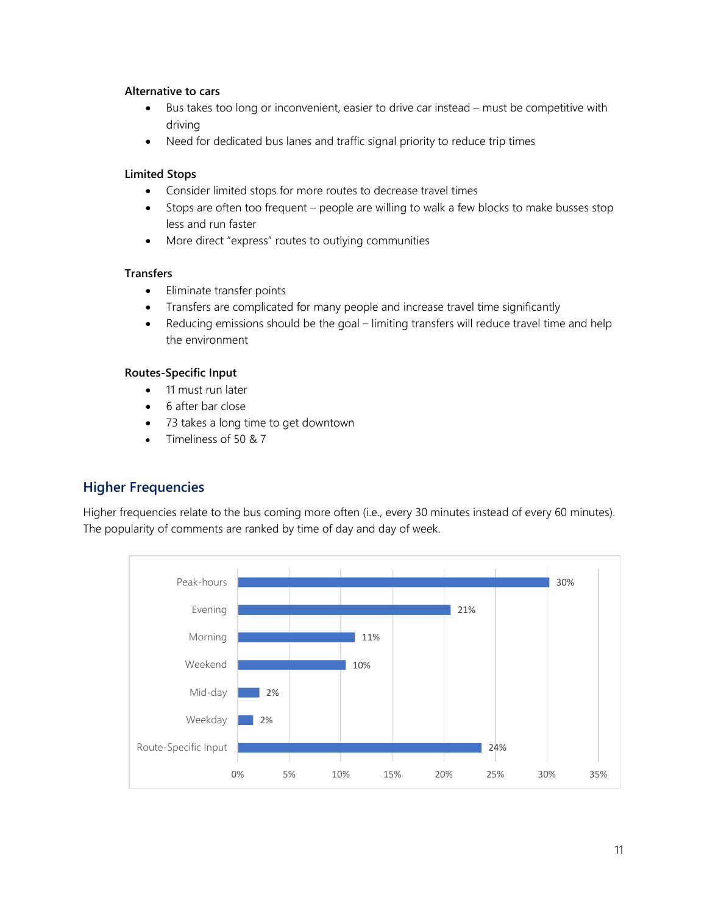#### **Alternative to cars**

- Bus takes too long or inconvenient, easier to drive car instead must be competitive with driving
- Need for dedicated bus lanes and traffic signal priority to reduce trip times

#### **Limited Stops**

- Consider limited stops for more routes to decrease travel times
- Stops are often too frequent people are willing to walk a few blocks to make busses stop less and run faster
- More direct "express" routes to outlying communities

#### **Transfers**

- Eliminate transfer points
- Transfers are complicated for many people and increase travel time significantly
- Reducing emissions should be the goal limiting transfers will reduce travel time and help the environment

#### **Routes-Specific Input**

- 11 must run later
- 6 after bar close
- 73 takes a long time to get downtown
- Timeliness of 50 & 7

# **Higher Frequencies**

Higher frequencies relate to the bus coming more often (i.e., every 30 minutes instead of every 60 minutes). The popularity of comments are ranked by time of day and day of week.

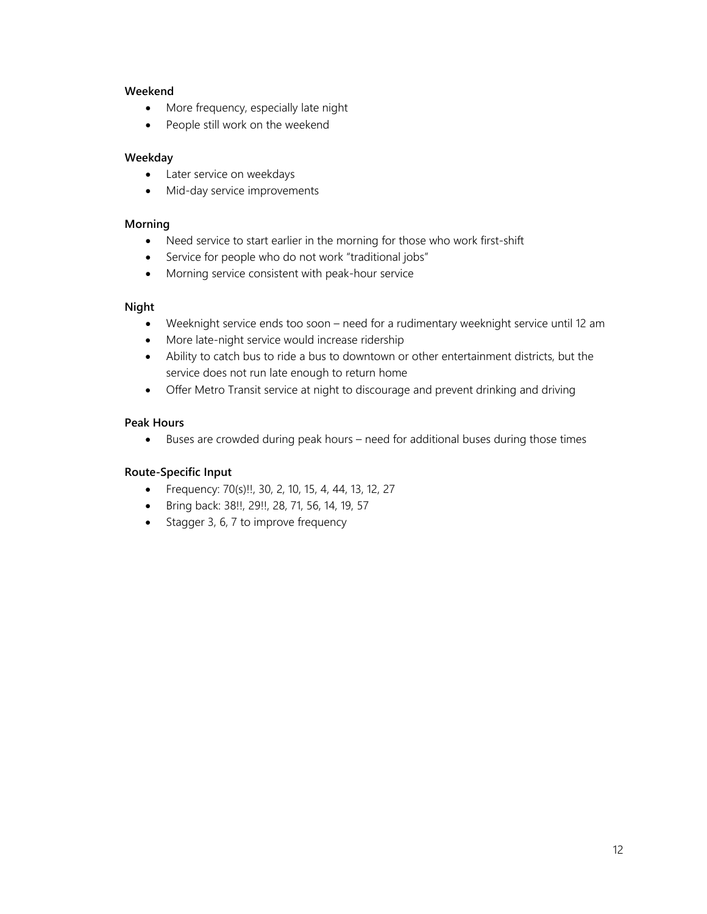#### **Weekend**

- More frequency, especially late night
- People still work on the weekend

#### **Weekday**

- Later service on weekdays
- Mid-day service improvements

#### **Morning**

- Need service to start earlier in the morning for those who work first-shift
- Service for people who do not work "traditional jobs"
- Morning service consistent with peak-hour service

#### **Night**

- Weeknight service ends too soon need for a rudimentary weeknight service until 12 am
- More late-night service would increase ridership
- Ability to catch bus to ride a bus to downtown or other entertainment districts, but the service does not run late enough to return home
- Offer Metro Transit service at night to discourage and prevent drinking and driving

#### **Peak Hours**

• Buses are crowded during peak hours – need for additional buses during those times

#### **Route-Specific Input**

- Frequency: 70(s)!!, 30, 2, 10, 15, 4, 44, 13, 12, 27
- Bring back: 38!!, 29!!, 28, 71, 56, 14, 19, 57
- Stagger 3, 6, 7 to improve frequency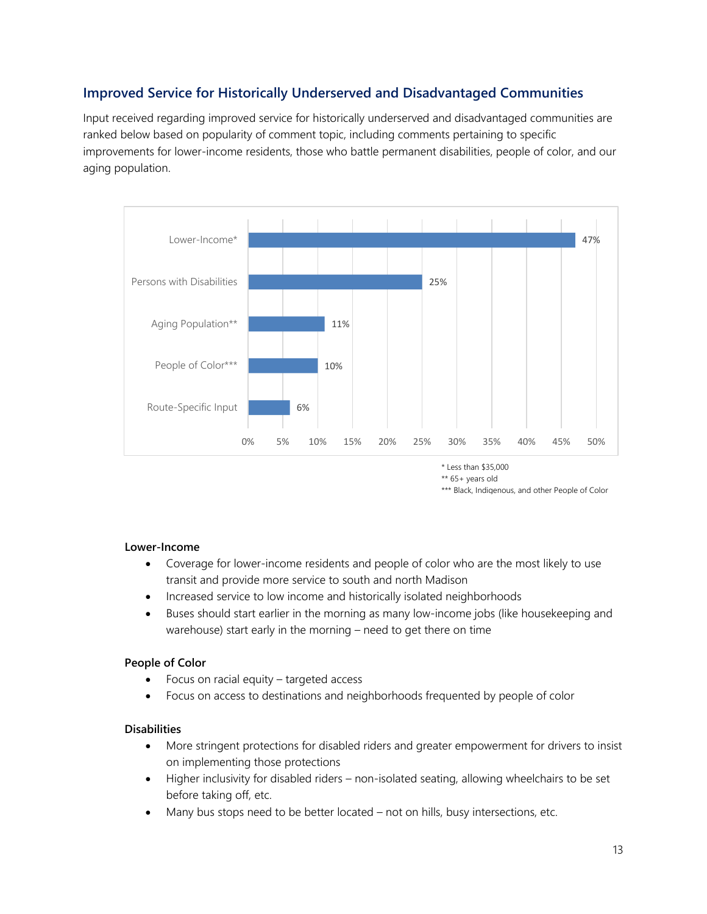# **Improved Service for Historically Underserved and Disadvantaged Communities**

Input received regarding improved service for historically underserved and disadvantaged communities are ranked below based on popularity of comment topic, including comments pertaining to specific improvements for lower-income residents, those who battle permanent disabilities, people of color, and our aging population.



\* Less than \$35,000

\*\* 65+ years old

\*\*\* Black, Indigenous, and other People of Color

#### **Lower-Income**

- Coverage for lower-income residents and people of color who are the most likely to use transit and provide more service to south and north Madison
- Increased service to low income and historically isolated neighborhoods
- Buses should start earlier in the morning as many low-income jobs (like housekeeping and warehouse) start early in the morning – need to get there on time

#### **People of Color**

- Focus on racial equity targeted access
- Focus on access to destinations and neighborhoods frequented by people of color

#### **Disabilities**

- More stringent protections for disabled riders and greater empowerment for drivers to insist on implementing those protections
- Higher inclusivity for disabled riders non-isolated seating, allowing wheelchairs to be set before taking off, etc.
- Many bus stops need to be better located not on hills, busy intersections, etc.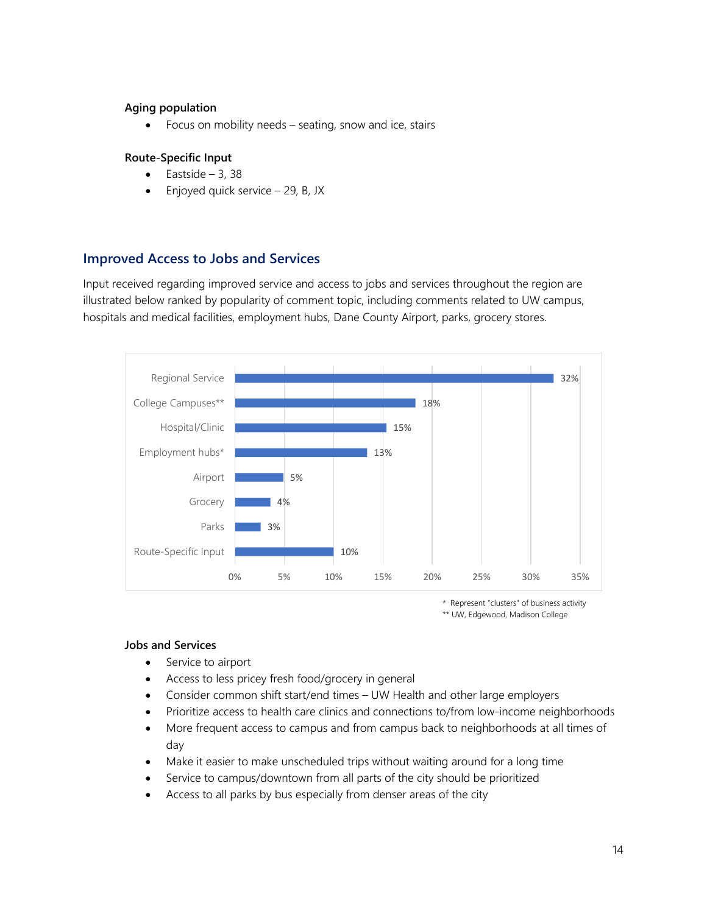#### **Aging population**

• Focus on mobility needs – seating, snow and ice, stairs

#### **Route-Specific Input**

- Eastside 3, 38
- $\bullet$  Enjoyed quick service  $-$  29, B, JX

### **Improved Access to Jobs and Services**

Input received regarding improved service and access to jobs and services throughout the region are illustrated below ranked by popularity of comment topic, including comments related to UW campus, hospitals and medical facilities, employment hubs, Dane County Airport, parks, grocery stores.



<sup>\*</sup> Represent "clusters" of business activity \*\* UW, Edgewood, Madison College

#### **Jobs and Services**

- Service to airport
- Access to less pricey fresh food/grocery in general
- Consider common shift start/end times UW Health and other large employers
- Prioritize access to health care clinics and connections to/from low-income neighborhoods
- More frequent access to campus and from campus back to neighborhoods at all times of day
- Make it easier to make unscheduled trips without waiting around for a long time
- Service to campus/downtown from all parts of the city should be prioritized
- Access to all parks by bus especially from denser areas of the city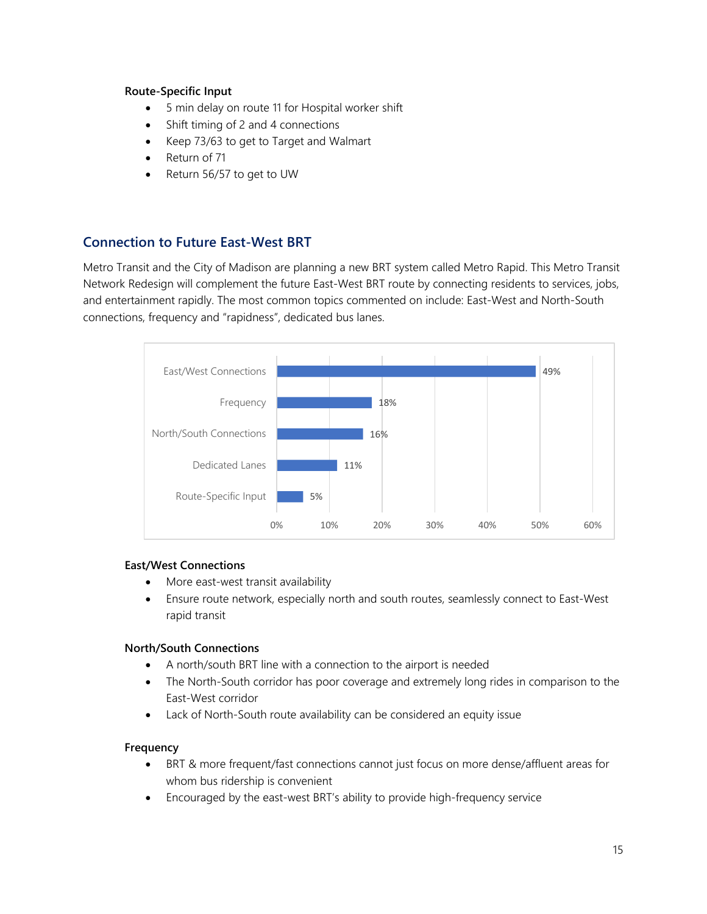#### **Route-Specific Input**

- 5 min delay on route 11 for Hospital worker shift
- Shift timing of 2 and 4 connections
- Keep 73/63 to get to Target and Walmart
- Return of 71
- Return 56/57 to get to UW

## **Connection to Future East-West BRT**

Metro Transit and the City of Madison are planning a new BRT system called Metro Rapid. This Metro Transit Network Redesign will complement the future East-West BRT route by connecting residents to services, jobs, and entertainment rapidly. The most common topics commented on include: East-West and North-South connections, frequency and "rapidness", dedicated bus lanes.



#### **East/West Connections**

- More east-west transit availability
- Ensure route network, especially north and south routes, seamlessly connect to East-West rapid transit

#### **North/South Connections**

- A north/south BRT line with a connection to the airport is needed
- The North-South corridor has poor coverage and extremely long rides in comparison to the East-West corridor
- Lack of North-South route availability can be considered an equity issue

#### **Frequency**

- BRT & more frequent/fast connections cannot just focus on more dense/affluent areas for whom bus ridership is convenient
- Encouraged by the east-west BRT's ability to provide high-frequency service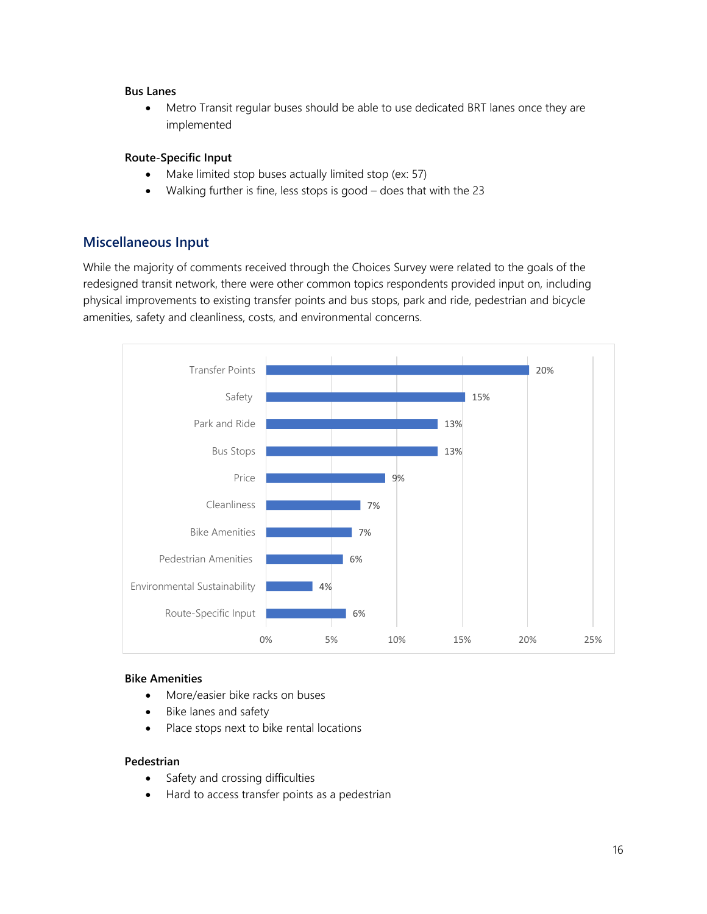#### **Bus Lanes**

• Metro Transit regular buses should be able to use dedicated BRT lanes once they are implemented

#### **Route-Specific Input**

- Make limited stop buses actually limited stop (ex: 57)
- Walking further is fine, less stops is good does that with the 23

### **Miscellaneous Input**

While the majority of comments received through the Choices Survey were related to the goals of the redesigned transit network, there were other common topics respondents provided input on, including physical improvements to existing transfer points and bus stops, park and ride, pedestrian and bicycle amenities, safety and cleanliness, costs, and environmental concerns.



#### **Bike Amenities**

- More/easier bike racks on buses
- Bike lanes and safety
- Place stops next to bike rental locations

#### **Pedestrian**

- Safety and crossing difficulties
- Hard to access transfer points as a pedestrian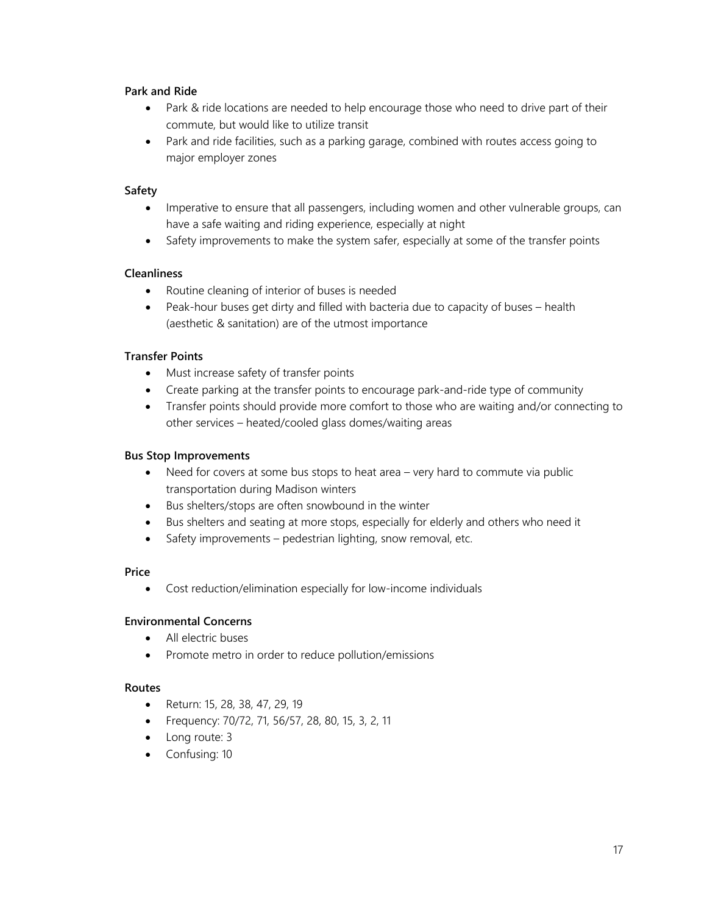#### **Park and Ride**

- Park & ride locations are needed to help encourage those who need to drive part of their commute, but would like to utilize transit
- Park and ride facilities, such as a parking garage, combined with routes access going to major employer zones

#### **Safety**

- Imperative to ensure that all passengers, including women and other vulnerable groups, can have a safe waiting and riding experience, especially at night
- Safety improvements to make the system safer, especially at some of the transfer points

#### **Cleanliness**

- Routine cleaning of interior of buses is needed
- Peak-hour buses get dirty and filled with bacteria due to capacity of buses health (aesthetic & sanitation) are of the utmost importance

#### **Transfer Points**

- Must increase safety of transfer points
- Create parking at the transfer points to encourage park-and-ride type of community
- Transfer points should provide more comfort to those who are waiting and/or connecting to other services – heated/cooled glass domes/waiting areas

#### **Bus Stop Improvements**

- Need for covers at some bus stops to heat area very hard to commute via public transportation during Madison winters
- Bus shelters/stops are often snowbound in the winter
- Bus shelters and seating at more stops, especially for elderly and others who need it
- Safety improvements pedestrian lighting, snow removal, etc.

#### **Price**

• Cost reduction/elimination especially for low-income individuals

#### **Environmental Concerns**

- All electric buses
- Promote metro in order to reduce pollution/emissions

#### **Routes**

- Return: 15, 28, 38, 47, 29, 19
- Frequency: 70/72, 71, 56/57, 28, 80, 15, 3, 2, 11
- Long route: 3
- Confusing: 10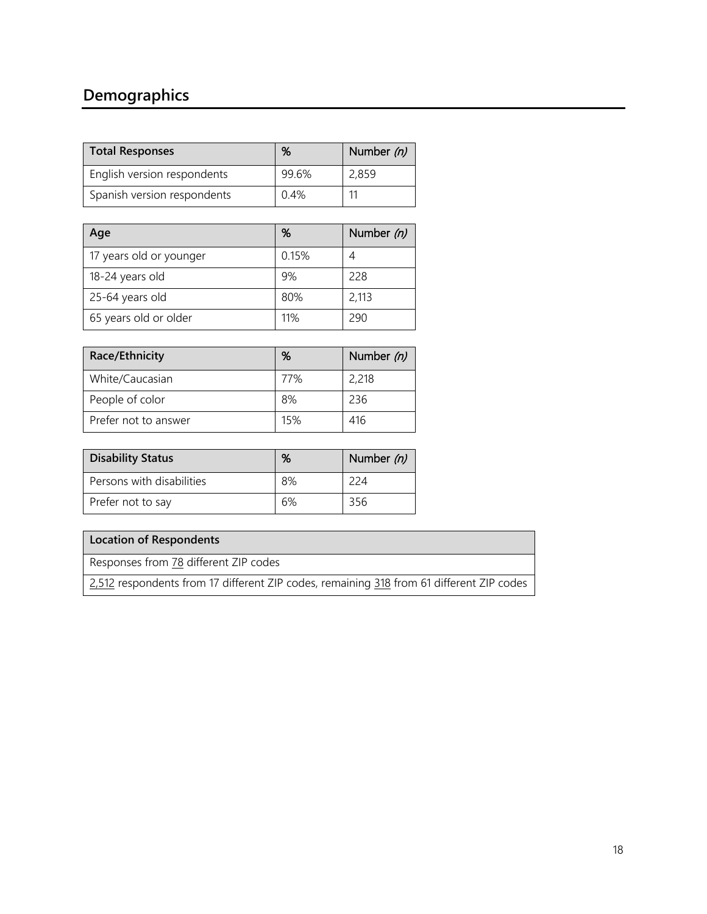# **Demographics**

| <b>Total Responses</b>      | %     | Number (n) |
|-----------------------------|-------|------------|
| English version respondents | 99.6% | 2,859      |
| Spanish version respondents | 0.4%  | 11         |

| Age                     | %     | Number (n) |
|-------------------------|-------|------------|
| 17 years old or younger | 0.15% |            |
| 18-24 years old         | 9%    | 228        |
| 25-64 years old         | 80%   | 2,113      |
| 65 years old or older   | 11%   | 290        |

| Race/Ethnicity       | %   | Number (n) |
|----------------------|-----|------------|
| White/Caucasian      | 77% | 2,218      |
| People of color      | 8%  | 236        |
| Prefer not to answer | 15% | 416        |

| <b>Disability Status</b>  | %  | Number $(n)$ |
|---------------------------|----|--------------|
| Persons with disabilities | 8% | 224          |
| Prefer not to say         | 6% | 356          |

## **Location of Respondents**

Responses from 78 different ZIP codes

2,512 respondents from 17 different ZIP codes, remaining 318 from 61 different ZIP codes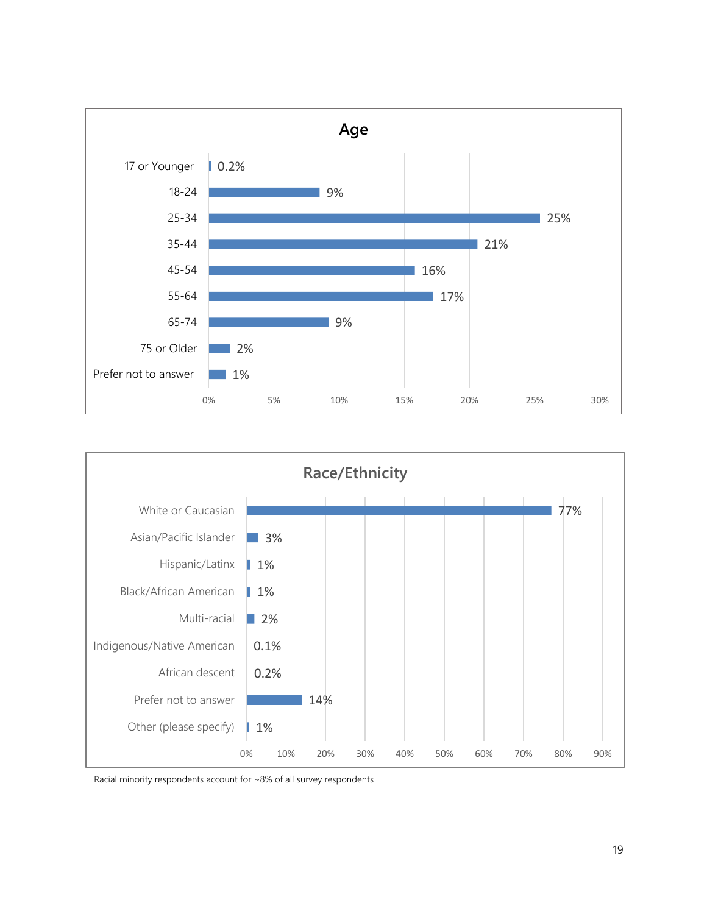



Racial minority respondents account for ~8% of all survey respondents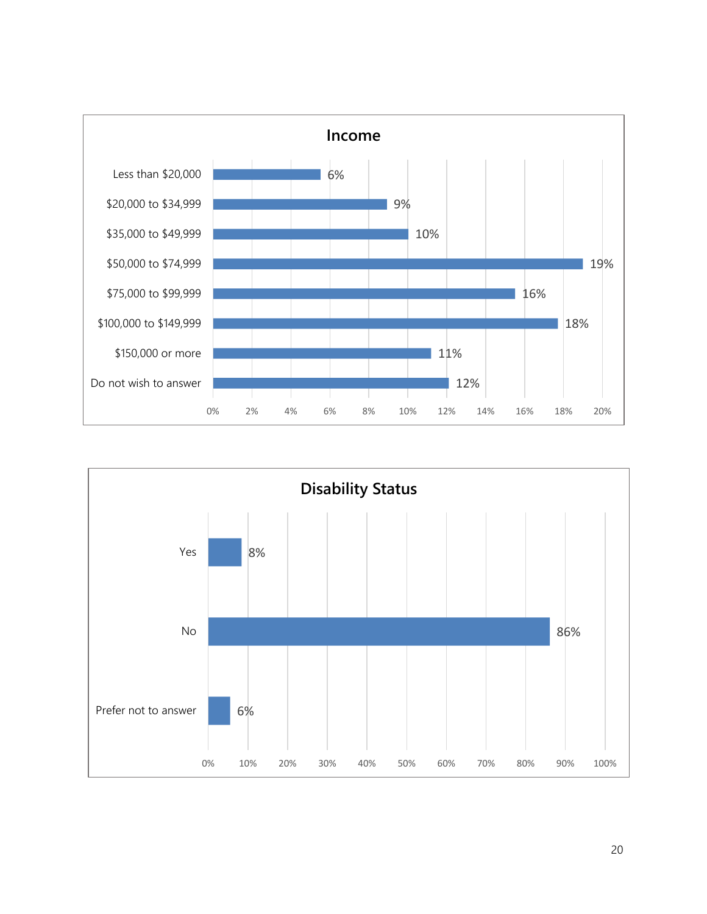

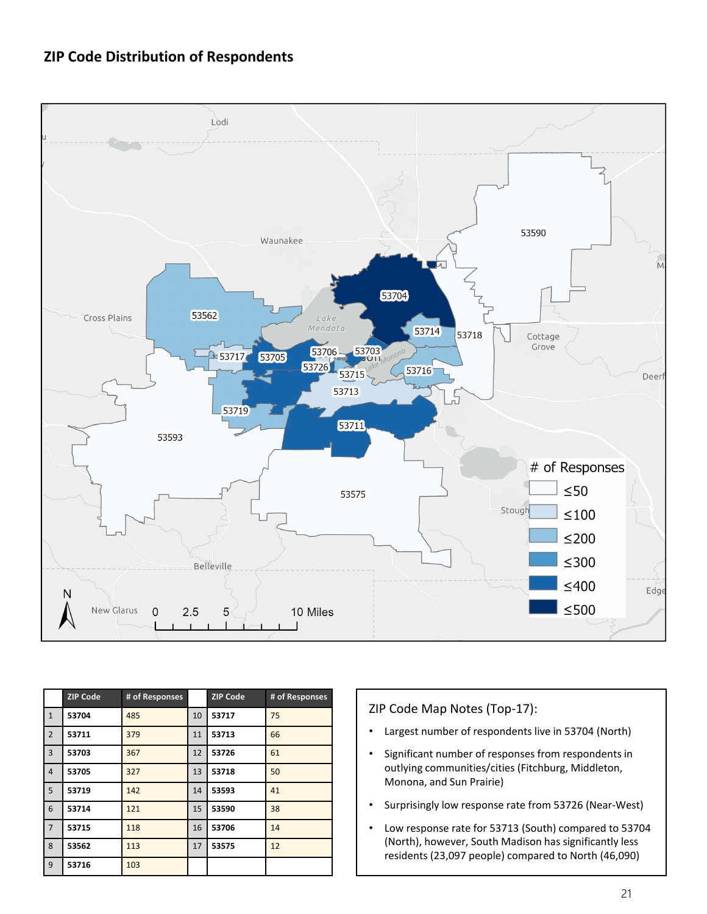# **ZIP Code Distribution of Respondents**



|                | <b>ZIP Code</b> | # of Responses |    | <b>ZIP Code</b> | # of Responses |
|----------------|-----------------|----------------|----|-----------------|----------------|
| $\mathbf{1}$   | 53704           | 485            | 10 | 53717           | 75             |
| $\overline{2}$ | 53711           | 379            | 11 | 53713           | 66             |
| 3              | 53703           | 367            | 12 | 53726           | 61             |
| $\overline{4}$ | 53705           | 327            | 13 | 53718           | 50             |
| 5              | 53719           | 142            | 14 | 53593           | 41             |
| 6              | 53714           | 121            | 15 | 53590           | 38             |
| $\overline{7}$ | 53715           | 118            | 16 | 53706           | 14             |
| 8              | 53562           | 113            | 17 | 53575           | 12             |
| 9              | 53716           | 103            |    |                 |                |

#### ZIP Code Map Notes (Top-17):

- Largest number of respondents live in 53704 (North)
- Significant number of responses from respondents in outlying communities/cities (Fitchburg, Middleton, Monona, and Sun Prairie)
- Surprisingly low response rate from 53726 (Near-West)
- Low response rate for 53713 (South) compared to 53704 (North), however, South Madison has significantly less residents (23,097 people) compared to North (46,090)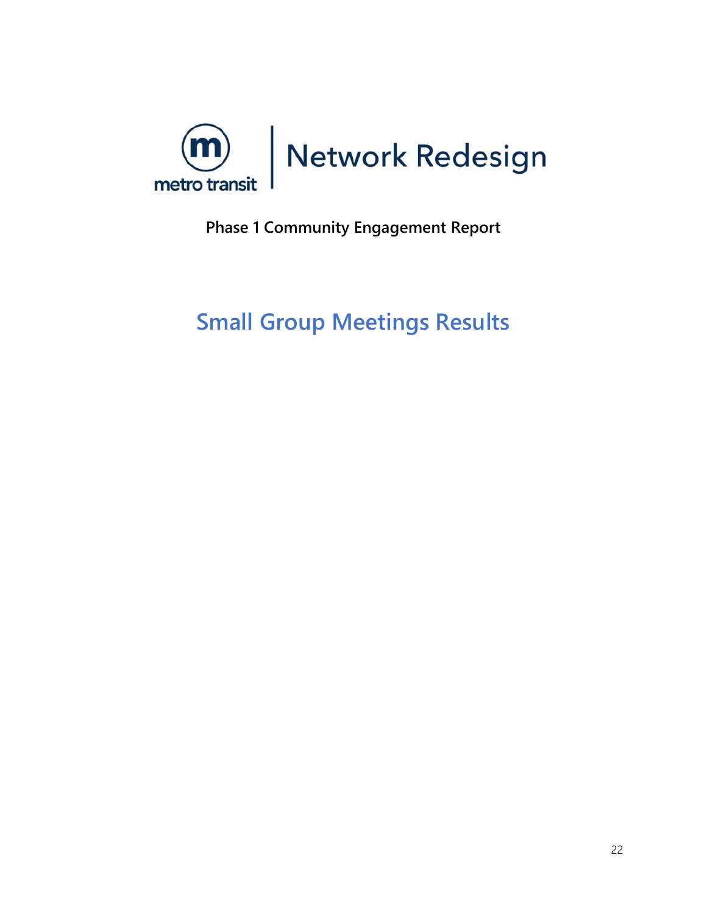<span id="page-22-0"></span>

# **Phase 1 Community Engagement Report**

# **Small Group Meetings Results**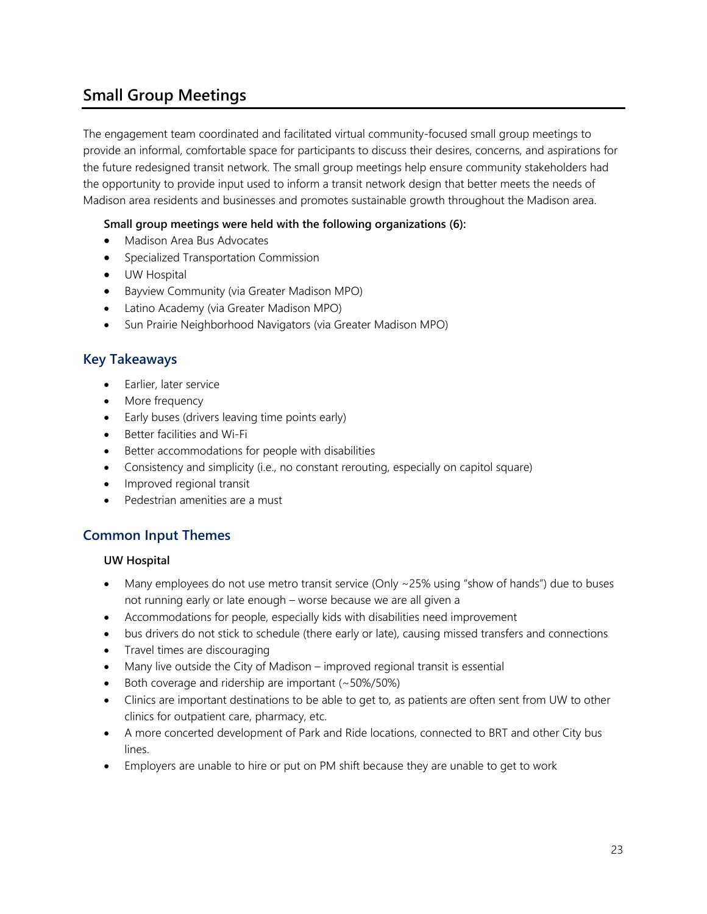# **Small Group Meetings**

The engagement team coordinated and facilitated virtual community-focused small group meetings to provide an informal, comfortable space for participants to discuss their desires, concerns, and aspirations for the future redesigned transit network. The small group meetings help ensure community stakeholders had the opportunity to provide input used to inform a transit network design that better meets the needs of Madison area residents and businesses and promotes sustainable growth throughout the Madison area.

#### **Small group meetings were held with the following organizations (6):**

- Madison Area Bus Advocates
- Specialized Transportation Commission
- UW Hospital
- Bayview Community (via Greater Madison MPO)
- Latino Academy (via Greater Madison MPO)
- Sun Prairie Neighborhood Navigators (via Greater Madison MPO)

### **Key Takeaways**

- Earlier, later service
- More frequency
- Early buses (drivers leaving time points early)
- Better facilities and Wi-Fi
- Better accommodations for people with disabilities
- Consistency and simplicity (i.e., no constant rerouting, especially on capitol square)
- Improved regional transit
- Pedestrian amenities are a must

### **Common Input Themes**

#### **UW Hospital**

- Many employees do not use metro transit service (Only ~25% using "show of hands") due to buses not running early or late enough – worse because we are all given a
- Accommodations for people, especially kids with disabilities need improvement
- bus drivers do not stick to schedule (there early or late), causing missed transfers and connections
- Travel times are discouraging
- Many live outside the City of Madison improved regional transit is essential
- Both coverage and ridership are important (~50%/50%)
- Clinics are important destinations to be able to get to, as patients are often sent from UW to other clinics for outpatient care, pharmacy, etc.
- A more concerted development of Park and Ride locations, connected to BRT and other City bus lines.
- Employers are unable to hire or put on PM shift because they are unable to get to work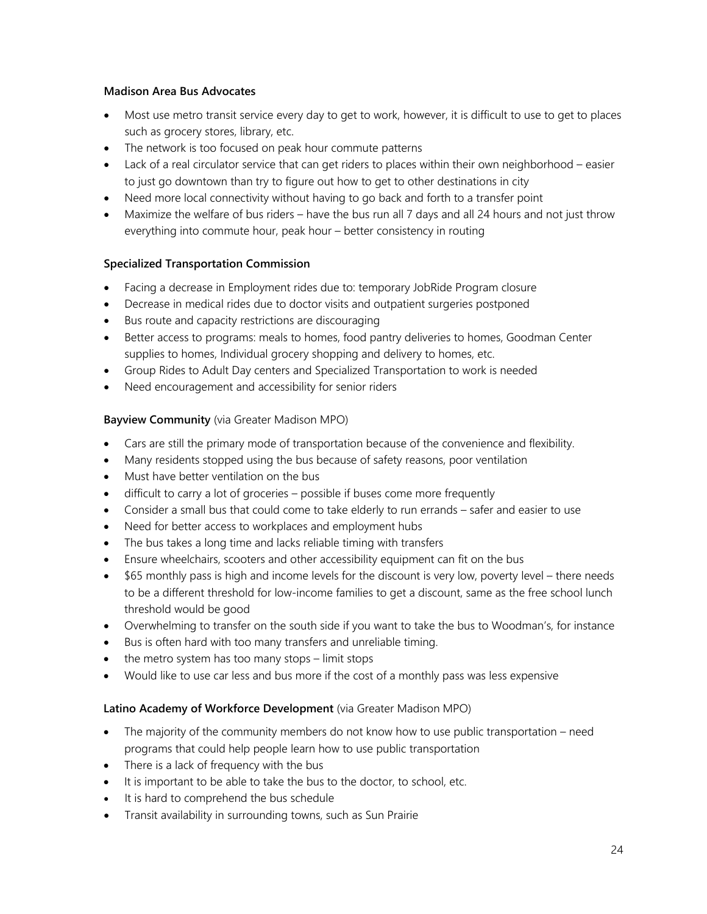#### **Madison Area Bus Advocates**

- Most use metro transit service every day to get to work, however, it is difficult to use to get to places such as grocery stores, library, etc.
- The network is too focused on peak hour commute patterns
- Lack of a real circulator service that can get riders to places within their own neighborhood easier to just go downtown than try to figure out how to get to other destinations in city
- Need more local connectivity without having to go back and forth to a transfer point
- Maximize the welfare of bus riders have the bus run all 7 days and all 24 hours and not just throw everything into commute hour, peak hour – better consistency in routing

#### **Specialized Transportation Commission**

- Facing a decrease in Employment rides due to: temporary JobRide Program closure
- Decrease in medical rides due to doctor visits and outpatient surgeries postponed
- Bus route and capacity restrictions are discouraging
- Better access to programs: meals to homes, food pantry deliveries to homes, Goodman Center supplies to homes, Individual grocery shopping and delivery to homes, etc.
- Group Rides to Adult Day centers and Specialized Transportation to work is needed
- Need encouragement and accessibility for senior riders

#### **Bayview Community** (via Greater Madison MPO)

- Cars are still the primary mode of transportation because of the convenience and flexibility.
- Many residents stopped using the bus because of safety reasons, poor ventilation
- Must have better ventilation on the bus
- difficult to carry a lot of groceries possible if buses come more frequently
- Consider a small bus that could come to take elderly to run errands safer and easier to use
- Need for better access to workplaces and employment hubs
- The bus takes a long time and lacks reliable timing with transfers
- Ensure wheelchairs, scooters and other accessibility equipment can fit on the bus
- \$65 monthly pass is high and income levels for the discount is very low, poverty level there needs to be a different threshold for low-income families to get a discount, same as the free school lunch threshold would be good
- Overwhelming to transfer on the south side if you want to take the bus to Woodman's, for instance
- Bus is often hard with too many transfers and unreliable timing.
- the metro system has too many stops limit stops
- Would like to use car less and bus more if the cost of a monthly pass was less expensive

#### **Latino Academy of Workforce Development** (via Greater Madison MPO)

- The majority of the community members do not know how to use public transportation need programs that could help people learn how to use public transportation
- There is a lack of frequency with the bus
- It is important to be able to take the bus to the doctor, to school, etc.
- It is hard to comprehend the bus schedule
- Transit availability in surrounding towns, such as Sun Prairie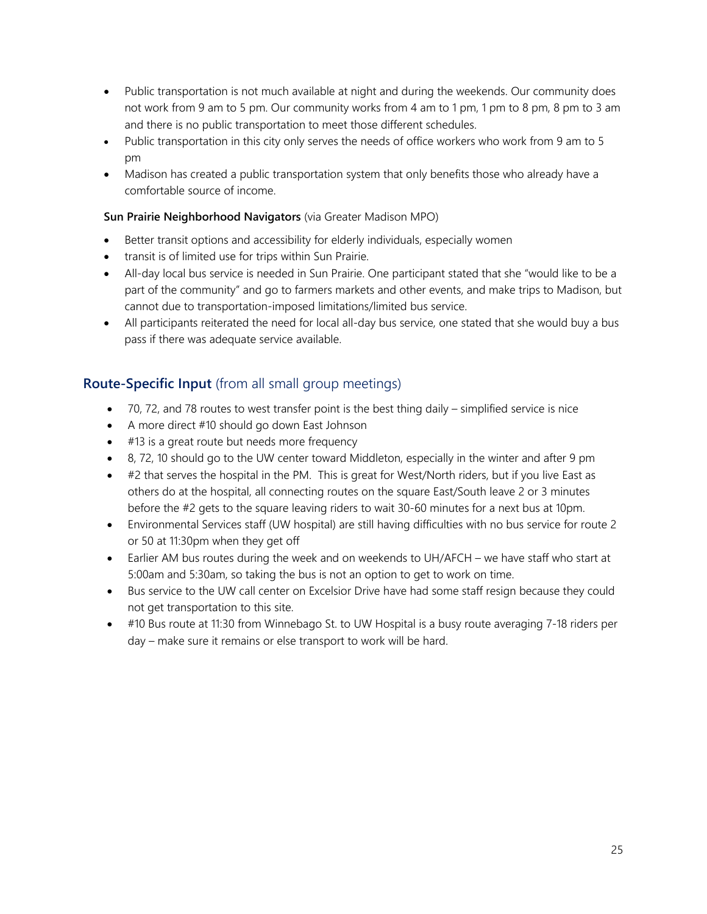- Public transportation is not much available at night and during the weekends. Our community does not work from 9 am to 5 pm. Our community works from 4 am to 1 pm, 1 pm to 8 pm, 8 pm to 3 am and there is no public transportation to meet those different schedules.
- Public transportation in this city only serves the needs of office workers who work from 9 am to 5 pm
- Madison has created a public transportation system that only benefits those who already have a comfortable source of income.

### **Sun Prairie Neighborhood Navigators** (via Greater Madison MPO)

- Better transit options and accessibility for elderly individuals, especially women
- transit is of limited use for trips within Sun Prairie.
- All-day local bus service is needed in Sun Prairie. One participant stated that she "would like to be a part of the community" and go to farmers markets and other events, and make trips to Madison, but cannot due to transportation-imposed limitations/limited bus service.
- All participants reiterated the need for local all-day bus service, one stated that she would buy a bus pass if there was adequate service available.

# **Route-Specific Input** (from all small group meetings)

- 70, 72, and 78 routes to west transfer point is the best thing daily simplified service is nice
- A more direct #10 should go down East Johnson
- #13 is a great route but needs more frequency
- 8, 72, 10 should go to the UW center toward Middleton, especially in the winter and after 9 pm
- #2 that serves the hospital in the PM. This is great for West/North riders, but if you live East as others do at the hospital, all connecting routes on the square East/South leave 2 or 3 minutes before the #2 gets to the square leaving riders to wait 30-60 minutes for a next bus at 10pm.
- Environmental Services staff (UW hospital) are still having difficulties with no bus service for route 2 or 50 at 11:30pm when they get off
- Earlier AM bus routes during the week and on weekends to UH/AFCH we have staff who start at 5:00am and 5:30am, so taking the bus is not an option to get to work on time.
- Bus service to the UW call center on Excelsior Drive have had some staff resign because they could not get transportation to this site.
- #10 Bus route at 11:30 from Winnebago St. to UW Hospital is a busy route averaging 7-18 riders per day – make sure it remains or else transport to work will be hard.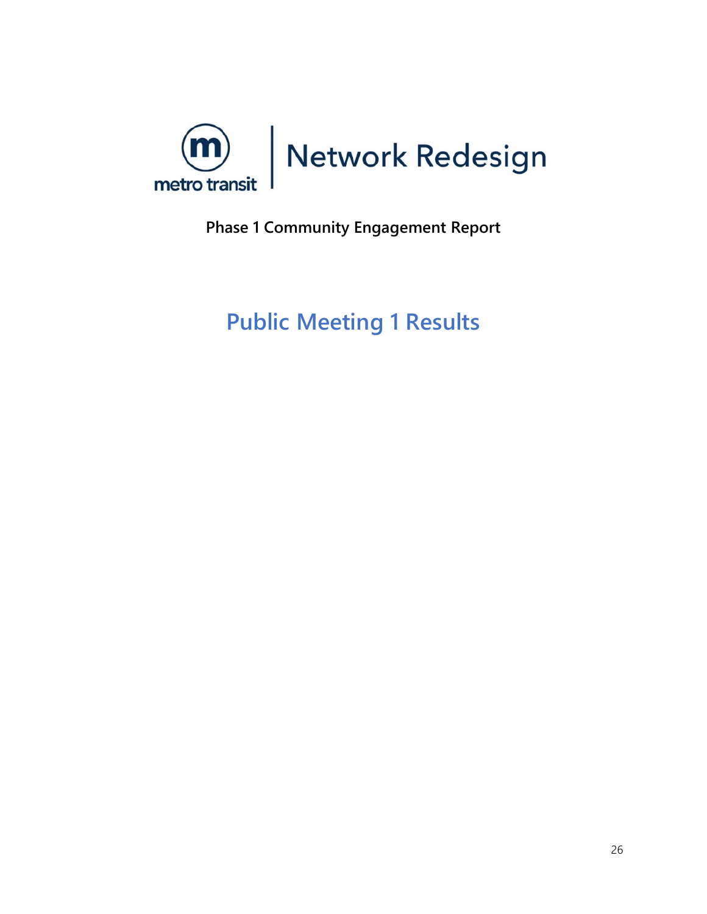<span id="page-26-0"></span>

**Phase 1 Community Engagement Report**

**Public Meeting 1 Results**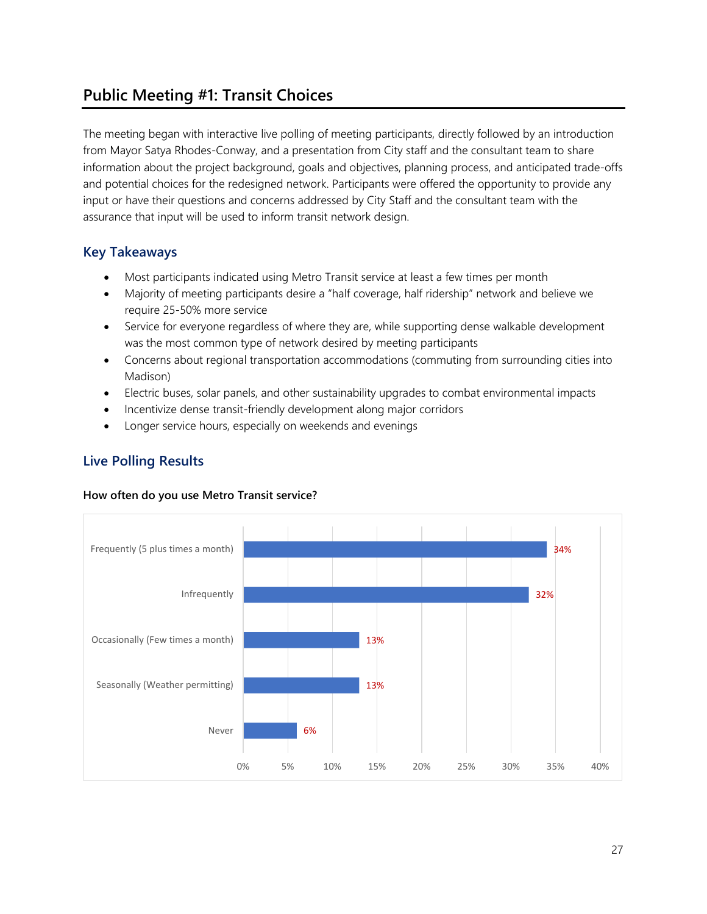# **Public Meeting #1: Transit Choices**

The meeting began with interactive live polling of meeting participants, directly followed by an introduction from Mayor Satya Rhodes-Conway, and a presentation from City staff and the consultant team to share information about the project background, goals and objectives, planning process, and anticipated trade-offs and potential choices for the redesigned network. Participants were offered the opportunity to provide any input or have their questions and concerns addressed by City Staff and the consultant team with the assurance that input will be used to inform transit network design.

# **Key Takeaways**

- Most participants indicated using Metro Transit service at least a few times per month
- Majority of meeting participants desire a "half coverage, half ridership" network and believe we require 25-50% more service
- Service for everyone regardless of where they are, while supporting dense walkable development was the most common type of network desired by meeting participants
- Concerns about regional transportation accommodations (commuting from surrounding cities into Madison)
- Electric buses, solar panels, and other sustainability upgrades to combat environmental impacts
- Incentivize dense transit-friendly development along major corridors
- Longer service hours, especially on weekends and evenings

# **Live Polling Results**

#### **How often do you use Metro Transit service?**

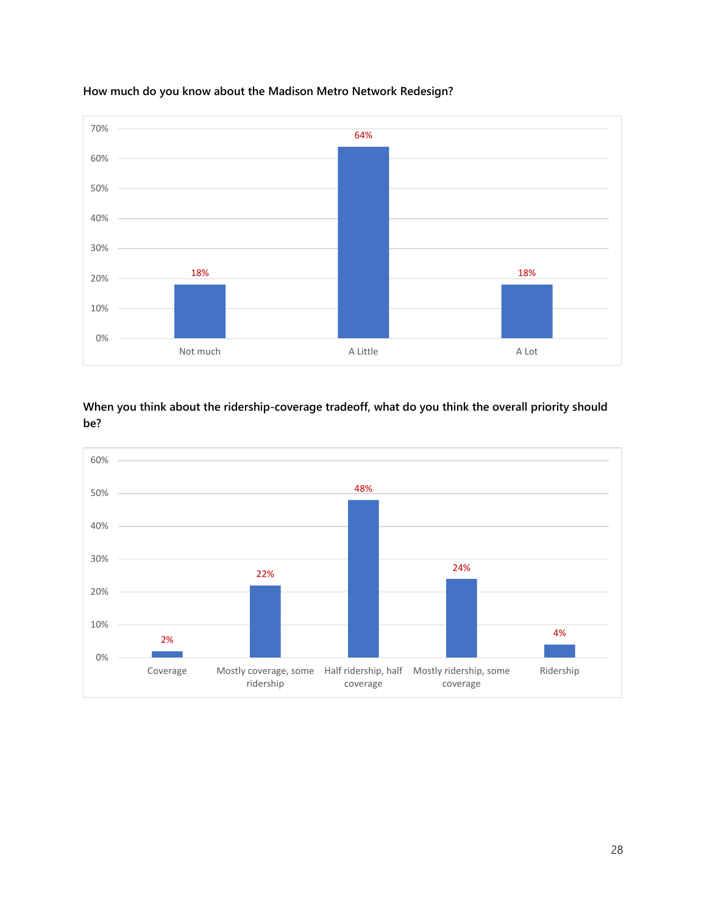

### **How much do you know about the Madison Metro Network Redesign?**

**When you think about the ridership-coverage tradeoff, what do you think the overall priority should be?**

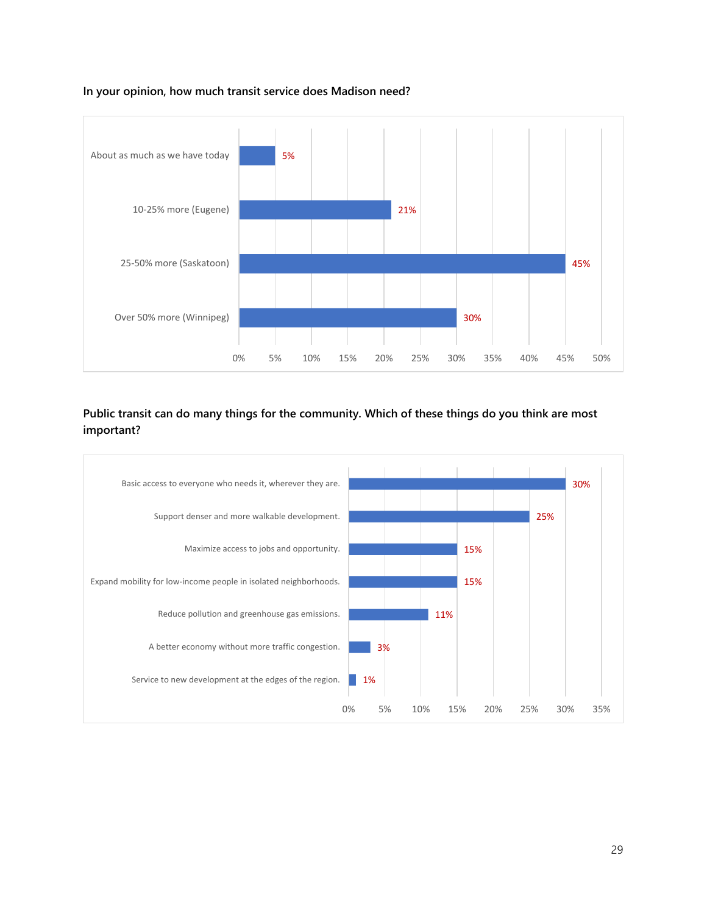![](_page_29_Figure_0.jpeg)

#### **In your opinion, how much transit service does Madison need?**

**Public transit can do many things for the community. Which of these things do you think are most important?**

![](_page_29_Figure_3.jpeg)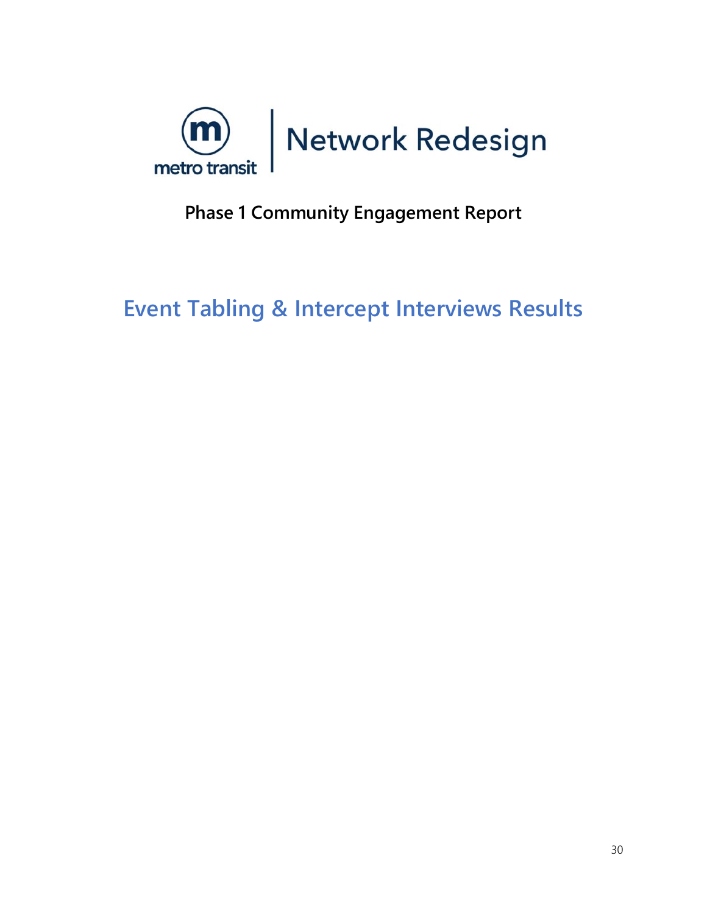<span id="page-30-0"></span>![](_page_30_Picture_0.jpeg)

# **Phase 1 Community Engagement Report**

**Event Tabling & Intercept Interviews Results**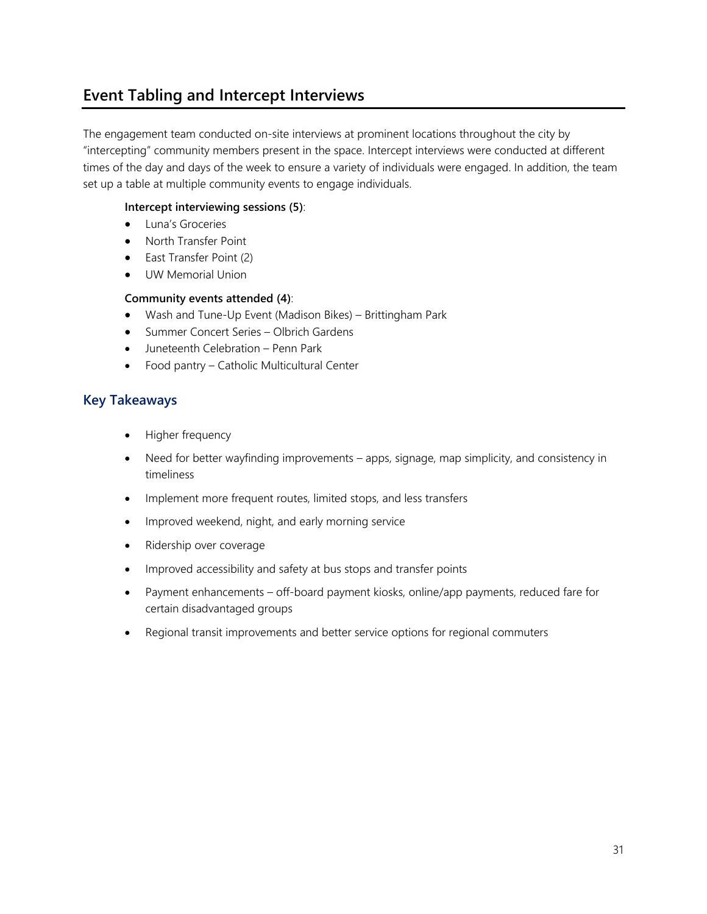# **Event Tabling and Intercept Interviews**

The engagement team conducted on-site interviews at prominent locations throughout the city by "intercepting" community members present in the space. Intercept interviews were conducted at different times of the day and days of the week to ensure a variety of individuals were engaged. In addition, the team set up a table at multiple community events to engage individuals.

#### **Intercept interviewing sessions (5)**:

- Luna's Groceries
- North Transfer Point
- East Transfer Point (2)
- UW Memorial Union

#### **Community events attended (4)**:

- Wash and Tune-Up Event (Madison Bikes) Brittingham Park
- Summer Concert Series Olbrich Gardens
- Juneteenth Celebration Penn Park
- Food pantry Catholic Multicultural Center

### **Key Takeaways**

- Higher frequency
- Need for better wayfinding improvements apps, signage, map simplicity, and consistency in timeliness
- Implement more frequent routes, limited stops, and less transfers
- Improved weekend, night, and early morning service
- Ridership over coverage
- Improved accessibility and safety at bus stops and transfer points
- Payment enhancements off-board payment kiosks, online/app payments, reduced fare for certain disadvantaged groups
- Regional transit improvements and better service options for regional commuters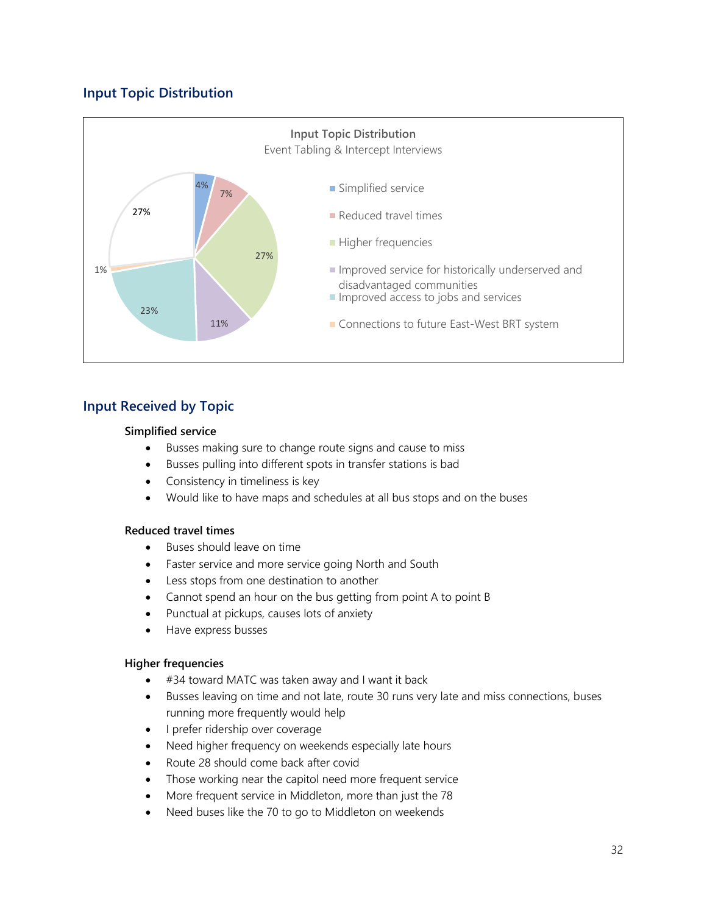# **Input Topic Distribution**

![](_page_32_Figure_1.jpeg)

## **Input Received by Topic**

#### **Simplified service**

- Busses making sure to change route signs and cause to miss
- Busses pulling into different spots in transfer stations is bad
- Consistency in timeliness is key
- Would like to have maps and schedules at all bus stops and on the buses

#### **Reduced travel times**

- Buses should leave on time
- Faster service and more service going North and South
- Less stops from one destination to another
- Cannot spend an hour on the bus getting from point A to point B
- Punctual at pickups, causes lots of anxiety
- Have express busses

#### **Higher frequencies**

- #34 toward MATC was taken away and I want it back
- Busses leaving on time and not late, route 30 runs very late and miss connections, buses running more frequently would help
- I prefer ridership over coverage
- Need higher frequency on weekends especially late hours
- Route 28 should come back after covid
- Those working near the capitol need more frequent service
- More frequent service in Middleton, more than just the 78
- Need buses like the 70 to go to Middleton on weekends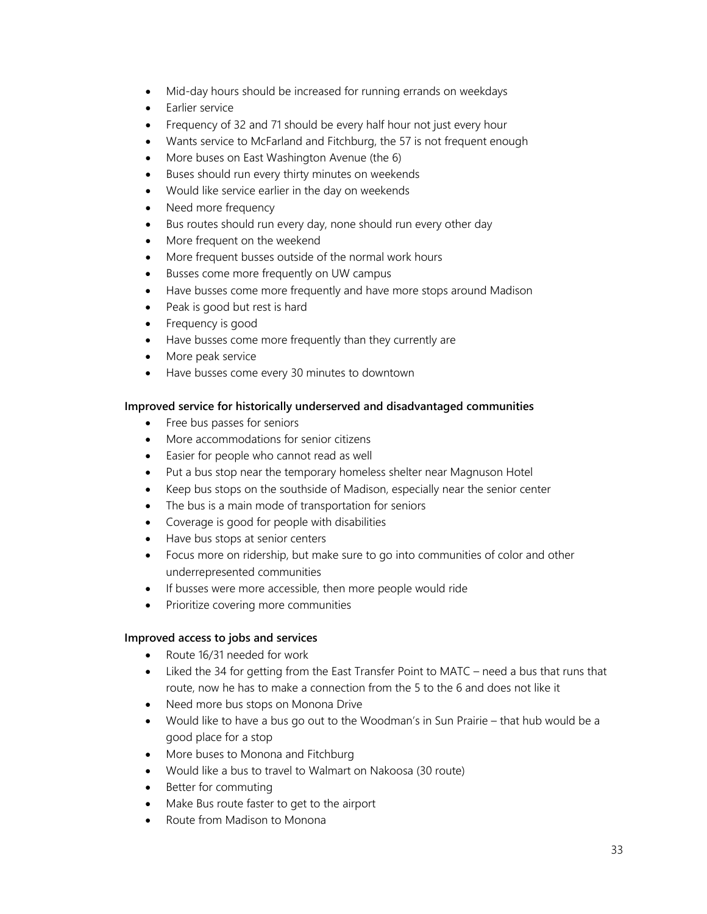- Mid-day hours should be increased for running errands on weekdays
- Earlier service
- Frequency of 32 and 71 should be every half hour not just every hour
- Wants service to McFarland and Fitchburg, the 57 is not frequent enough
- More buses on East Washington Avenue (the 6)
- Buses should run every thirty minutes on weekends
- Would like service earlier in the day on weekends
- Need more frequency
- Bus routes should run every day, none should run every other day
- More frequent on the weekend
- More frequent busses outside of the normal work hours
- Busses come more frequently on UW campus
- Have busses come more frequently and have more stops around Madison
- Peak is good but rest is hard
- Frequency is good
- Have busses come more frequently than they currently are
- More peak service
- Have busses come every 30 minutes to downtown

#### **Improved service for historically underserved and disadvantaged communities**

- Free bus passes for seniors
- More accommodations for senior citizens
- Easier for people who cannot read as well
- Put a bus stop near the temporary homeless shelter near Magnuson Hotel
- Keep bus stops on the southside of Madison, especially near the senior center
- The bus is a main mode of transportation for seniors
- Coverage is good for people with disabilities
- Have bus stops at senior centers
- Focus more on ridership, but make sure to go into communities of color and other underrepresented communities
- If busses were more accessible, then more people would ride
- Prioritize covering more communities

#### **Improved access to jobs and services**

- Route 16/31 needed for work
- Liked the 34 for getting from the East Transfer Point to MATC need a bus that runs that route, now he has to make a connection from the 5 to the 6 and does not like it
- Need more bus stops on Monona Drive
- Would like to have a bus go out to the Woodman's in Sun Prairie that hub would be a good place for a stop
- More buses to Monona and Fitchburg
- Would like a bus to travel to Walmart on Nakoosa (30 route)
- Better for commuting
- Make Bus route faster to get to the airport
- Route from Madison to Monona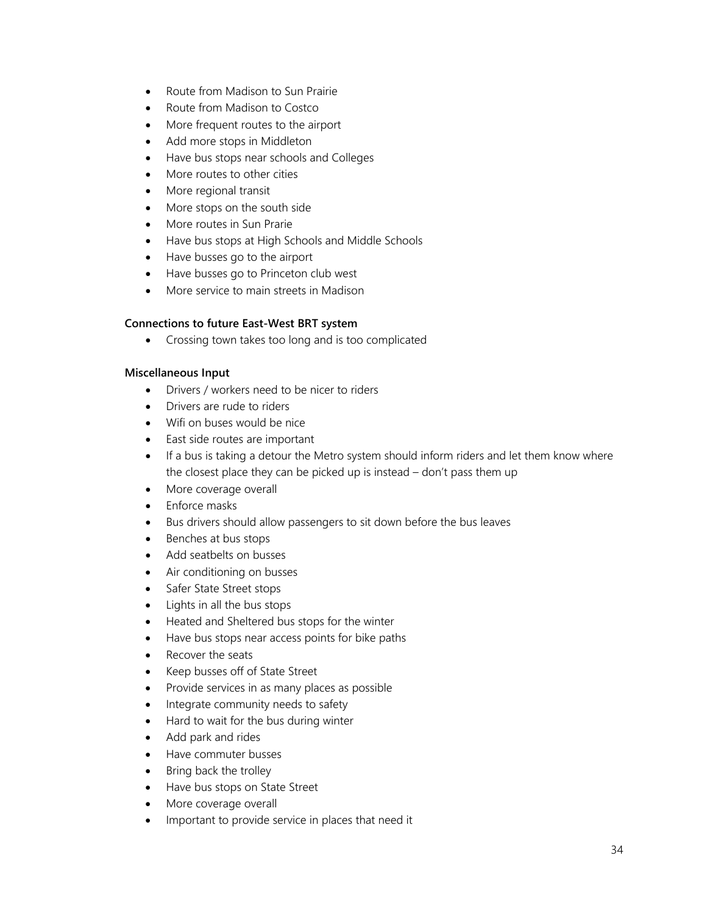- Route from Madison to Sun Prairie
- Route from Madison to Costco
- More frequent routes to the airport
- Add more stops in Middleton
- Have bus stops near schools and Colleges
- More routes to other cities
- More regional transit
- More stops on the south side
- More routes in Sun Prarie
- Have bus stops at High Schools and Middle Schools
- Have busses go to the airport
- Have busses go to Princeton club west
- More service to main streets in Madison

#### **Connections to future East-West BRT system**

• Crossing town takes too long and is too complicated

#### **Miscellaneous Input**

- Drivers / workers need to be nicer to riders
- Drivers are rude to riders
- Wifi on buses would be nice
- East side routes are important
- If a bus is taking a detour the Metro system should inform riders and let them know where the closest place they can be picked up is instead – don't pass them up
- More coverage overall
- Enforce masks
- Bus drivers should allow passengers to sit down before the bus leaves
- Benches at bus stops
- Add seatbelts on busses
- Air conditioning on busses
- Safer State Street stops
- Lights in all the bus stops
- Heated and Sheltered bus stops for the winter
- Have bus stops near access points for bike paths
- Recover the seats
- Keep busses off of State Street
- Provide services in as many places as possible
- Integrate community needs to safety
- Hard to wait for the bus during winter
- Add park and rides
- Have commuter busses
- Bring back the trolley
- Have bus stops on State Street
- More coverage overall
- Important to provide service in places that need it